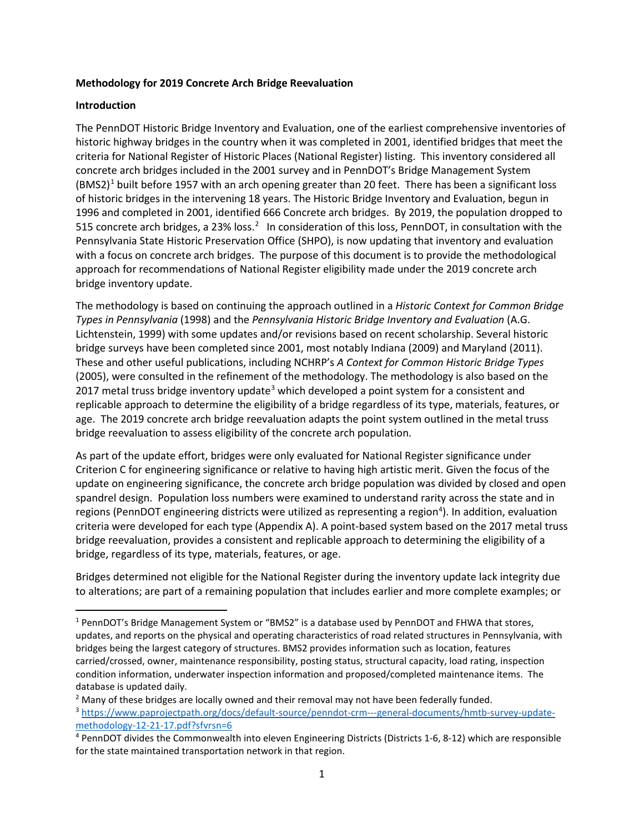#### **Methodology for 2019 Concrete Arch Bridge Reevaluation**

#### **Introduction**

The PennDOT Historic Bridge Inventory and Evaluation, one of the earliest comprehensive inventories of historic highway bridges in the country when it was completed in 2001, identified bridges that meet the criteria for National Register of Historic Places (National Register) listing. This inventory considered all concrete arch bridges included in the 2001 survey and in PennDOT's Bridge Management System (BMS2)<sup>[1](#page-0-0)</sup> built before 1957 with an arch opening greater than 20 feet. There has been a significant loss of historic bridges in the intervening 18 years. The Historic Bridge Inventory and Evaluation, begun in 1996 and completed in 2001, identified 666 Concrete arch bridges. By 2019, the population dropped to 515 concrete arch bridges, a [2](#page-0-1)3% loss.<sup>2</sup> In consideration of this loss, PennDOT, in consultation with the Pennsylvania State Historic Preservation Office (SHPO), is now updating that inventory and evaluation with a focus on concrete arch bridges. The purpose of this document is to provide the methodological approach for recommendations of National Register eligibility made under the 2019 concrete arch bridge inventory update.

The methodology is based on continuing the approach outlined in a *Historic Context for Common Bridge Types in Pennsylvania* (1998) and the *Pennsylvania Historic Bridge Inventory and Evaluation* (A.G. Lichtenstein, 1999) with some updates and/or revisions based on recent scholarship. Several historic bridge surveys have been completed since 2001, most notably Indiana (2009) and Maryland (2011). These and other useful publications, including NCHRP's *A Context for Common Historic Bridge Types* (2005), were consulted in the refinement of the methodology. The methodology is also based on the 2017 metal truss bridge inventory update<sup>[3](#page-0-2)</sup> which developed a point system for a consistent and replicable approach to determine the eligibility of a bridge regardless of its type, materials, features, or age. The 2019 concrete arch bridge reevaluation adapts the point system outlined in the metal truss bridge reevaluation to assess eligibility of the concrete arch population.

As part of the update effort, bridges were only evaluated for National Register significance under Criterion C for engineering significance or relative to having high artistic merit. Given the focus of the update on engineering significance, the concrete arch bridge population was divided by closed and open spandrel design. Population loss numbers were examined to understand rarity across the state and in regions (PennDOT engineering districts were utilized as representing a region<sup>[4](#page-0-3)</sup>). In addition, evaluation criteria were developed for each type (Appendix A). A point-based system based on the 2017 metal truss bridge reevaluation, provides a consistent and replicable approach to determining the eligibility of a bridge, regardless of its type, materials, features, or age.

Bridges determined not eligible for the National Register during the inventory update lack integrity due to alterations; are part of a remaining population that includes earlier and more complete examples; or

<span id="page-0-0"></span><sup>&</sup>lt;sup>1</sup> PennDOT's Bridge Management System or "BMS2" is a database used by PennDOT and FHWA that stores, updates, and reports on the physical and operating characteristics of road related structures in Pennsylvania, with bridges being the largest category of structures. BMS2 provides information such as location, features carried/crossed, owner, maintenance responsibility, posting status, structural capacity, load rating, inspection condition information, underwater inspection information and proposed/completed maintenance items. The database is updated daily.

<span id="page-0-1"></span> $<sup>2</sup>$  Many of these bridges are locally owned and their removal may not have been federally funded.</sup>

<span id="page-0-2"></span><sup>3</sup> [https://www.paprojectpath.org/docs/default-source/penndot-crm---general-documents/hmtb-survey-update](https://www.paprojectpath.org/docs/default-source/penndot-crm---general-documents/hmtb-survey-update-methodology-12-21-17.pdf?sfvrsn=6)methodology-12-21-17.pdf?sfvrsn=6<br><sup>4</sup> PennDOT divides the Commonwealth into eleven Engineering Districts (Districts 1-6, 8-12) which are responsible

<span id="page-0-3"></span>for the state maintained transportation network in that region.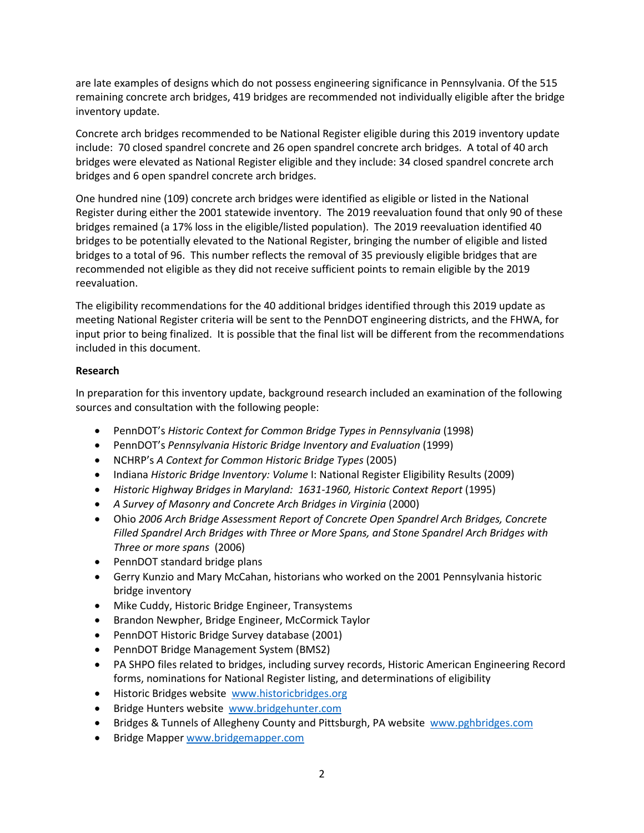are late examples of designs which do not possess engineering significance in Pennsylvania. Of the 515 remaining concrete arch bridges, 419 bridges are recommended not individually eligible after the bridge inventory update.

Concrete arch bridges recommended to be National Register eligible during this 2019 inventory update include: 70 closed spandrel concrete and 26 open spandrel concrete arch bridges. A total of 40 arch bridges were elevated as National Register eligible and they include: 34 closed spandrel concrete arch bridges and 6 open spandrel concrete arch bridges.

One hundred nine (109) concrete arch bridges were identified as eligible or listed in the National Register during either the 2001 statewide inventory. The 2019 reevaluation found that only 90 of these bridges remained (a 17% loss in the eligible/listed population). The 2019 reevaluation identified 40 bridges to be potentially elevated to the National Register, bringing the number of eligible and listed bridges to a total of 96. This number reflects the removal of 35 previously eligible bridges that are recommended not eligible as they did not receive sufficient points to remain eligible by the 2019 reevaluation.

The eligibility recommendations for the 40 additional bridges identified through this 2019 update as meeting National Register criteria will be sent to the PennDOT engineering districts, and the FHWA, for input prior to being finalized. It is possible that the final list will be different from the recommendations included in this document.

## **Research**

In preparation for this inventory update, background research included an examination of the following sources and consultation with the following people:

- PennDOT's *Historic Context for Common Bridge Types in Pennsylvania* (1998)
- PennDOT's *Pennsylvania Historic Bridge Inventory and Evaluation* (1999)
- NCHRP's *A Context for Common Historic Bridge Types* (2005)
- Indiana *Historic Bridge Inventory: Volume* I: National Register Eligibility Results (2009)
- *Historic Highway Bridges in Maryland: 1631-1960, Historic Context Report* (1995)
- A Survey of Masonry and Concrete Arch Bridges in Virginia (2000)
- Ohio *2006 Arch Bridge Assessment Report of Concrete Open Spandrel Arch Bridges, Concrete Filled Spandrel Arch Bridges with Three or More Spans, and Stone Spandrel Arch Bridges with Three or more spans* (2006)
- PennDOT standard bridge plans
- Gerry Kunzio and Mary McCahan, historians who worked on the 2001 Pennsylvania historic bridge inventory
- Mike Cuddy, Historic Bridge Engineer, Transystems
- Brandon Newpher, Bridge Engineer, McCormick Taylor
- PennDOT Historic Bridge Survey database (2001)
- PennDOT Bridge Management System (BMS2)
- PA SHPO files related to bridges, including survey records, Historic American Engineering Record forms, nominations for National Register listing, and determinations of eligibility
- Historic Bridges website [www.historicbridges.org](http://www.historicbridges.org/)
- Bridge Hunters website [www.bridgehunter.com](http://www.bridgehunter.com/)
- Bridges & Tunnels of Allegheny County and Pittsburgh, PA website [www.pghbridges.com](http://www.pghbridges.com/)
- Bridge Mapper [www.bridgemapper.com](http://www.bridgemapper.com/)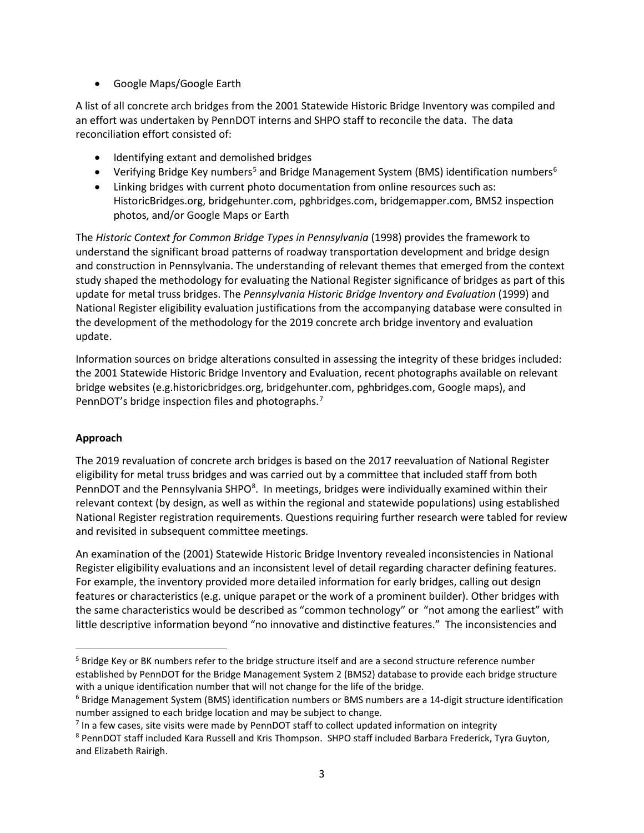• Google Maps/Google Earth

A list of all concrete arch bridges from the 2001 Statewide Historic Bridge Inventory was compiled and an effort was undertaken by PennDOT interns and SHPO staff to reconcile the data. The data reconciliation effort consisted of:

- Identifying extant and demolished bridges
- Verifying Bridge Key numbers<sup>[5](#page-2-0)</sup> and Bridge Management System (BMS) identification numbers<sup>[6](#page-2-1)</sup>
- Linking bridges with current photo documentation from online resources such as: HistoricBridges.org, bridgehunter.com, pghbridges.com, bridgemapper.com, BMS2 inspection photos, and/or Google Maps or Earth

The *Historic Context for Common Bridge Types in Pennsylvania* (1998) provides the framework to understand the significant broad patterns of roadway transportation development and bridge design and construction in Pennsylvania. The understanding of relevant themes that emerged from the context study shaped the methodology for evaluating the National Register significance of bridges as part of this update for metal truss bridges. The *Pennsylvania Historic Bridge Inventory and Evaluation* (1999) and National Register eligibility evaluation justifications from the accompanying database were consulted in the development of the methodology for the 2019 concrete arch bridge inventory and evaluation update.

Information sources on bridge alterations consulted in assessing the integrity of these bridges included: the 2001 Statewide Historic Bridge Inventory and Evaluation, recent photographs available on relevant bridge websites (e.g.historicbridges.org, bridgehunter.com, pghbridges.com, Google maps), and PennDOT's bridge inspection files and photographs.<sup>[7](#page-2-2)</sup>

#### **Approach**

The 2019 revaluation of concrete arch bridges is based on the 2017 reevaluation of National Register eligibility for metal truss bridges and was carried out by a committee that included staff from both PennDOT and the Pennsylvania SHPO<sup>[8](#page-2-3)</sup>. In meetings, bridges were individually examined within their relevant context (by design, as well as within the regional and statewide populations) using established National Register registration requirements. Questions requiring further research were tabled for review and revisited in subsequent committee meetings.

An examination of the (2001) Statewide Historic Bridge Inventory revealed inconsistencies in National Register eligibility evaluations and an inconsistent level of detail regarding character defining features. For example, the inventory provided more detailed information for early bridges, calling out design features or characteristics (e.g. unique parapet or the work of a prominent builder). Other bridges with the same characteristics would be described as "common technology" or "not among the earliest" with little descriptive information beyond "no innovative and distinctive features." The inconsistencies and

<span id="page-2-0"></span><sup>&</sup>lt;sup>5</sup> Bridge Key or BK numbers refer to the bridge structure itself and are a second structure reference number established by PennDOT for the Bridge Management System 2 (BMS2) database to provide each bridge structure with a unique identification number that will not change for the life of the bridge.

<span id="page-2-1"></span> $6$  Bridge Management System (BMS) identification numbers or BMS numbers are a 14-digit structure identification number assigned to each bridge location and may be subject to change.

<span id="page-2-2"></span> $<sup>7</sup>$  In a few cases, site visits were made by PennDOT staff to collect updated information on integrity</sup>

<span id="page-2-3"></span><sup>8</sup> PennDOT staff included Kara Russell and Kris Thompson. SHPO staff included Barbara Frederick, Tyra Guyton, and Elizabeth Rairigh.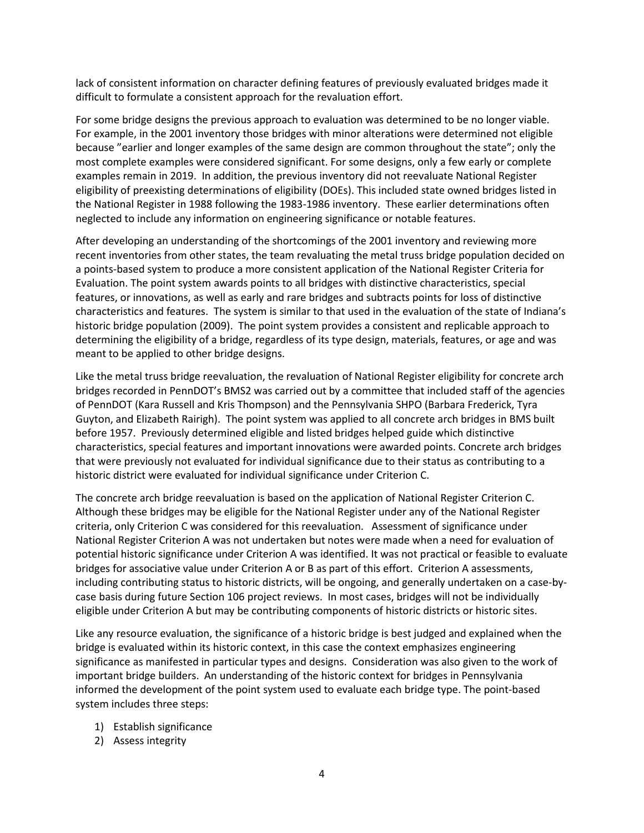lack of consistent information on character defining features of previously evaluated bridges made it difficult to formulate a consistent approach for the revaluation effort.

For some bridge designs the previous approach to evaluation was determined to be no longer viable. For example, in the 2001 inventory those bridges with minor alterations were determined not eligible because "earlier and longer examples of the same design are common throughout the state"; only the most complete examples were considered significant. For some designs, only a few early or complete examples remain in 2019. In addition, the previous inventory did not reevaluate National Register eligibility of preexisting determinations of eligibility (DOEs). This included state owned bridges listed in the National Register in 1988 following the 1983-1986 inventory. These earlier determinations often neglected to include any information on engineering significance or notable features.

After developing an understanding of the shortcomings of the 2001 inventory and reviewing more recent inventories from other states, the team revaluating the metal truss bridge population decided on a points-based system to produce a more consistent application of the National Register Criteria for Evaluation. The point system awards points to all bridges with distinctive characteristics, special features, or innovations, as well as early and rare bridges and subtracts points for loss of distinctive characteristics and features. The system is similar to that used in the evaluation of the state of Indiana's historic bridge population (2009). The point system provides a consistent and replicable approach to determining the eligibility of a bridge, regardless of its type design, materials, features, or age and was meant to be applied to other bridge designs.

Like the metal truss bridge reevaluation, the revaluation of National Register eligibility for concrete arch bridges recorded in PennDOT's BMS2 was carried out by a committee that included staff of the agencies of PennDOT (Kara Russell and Kris Thompson) and the Pennsylvania SHPO (Barbara Frederick, Tyra Guyton, and Elizabeth Rairigh). The point system was applied to all concrete arch bridges in BMS built before 1957. Previously determined eligible and listed bridges helped guide which distinctive characteristics, special features and important innovations were awarded points. Concrete arch bridges that were previously not evaluated for individual significance due to their status as contributing to a historic district were evaluated for individual significance under Criterion C.

The concrete arch bridge reevaluation is based on the application of National Register Criterion C. Although these bridges may be eligible for the National Register under any of the National Register criteria, only Criterion C was considered for this reevaluation. Assessment of significance under National Register Criterion A was not undertaken but notes were made when a need for evaluation of potential historic significance under Criterion A was identified. It was not practical or feasible to evaluate bridges for associative value under Criterion A or B as part of this effort. Criterion A assessments, including contributing status to historic districts, will be ongoing, and generally undertaken on a case-bycase basis during future Section 106 project reviews. In most cases, bridges will not be individually eligible under Criterion A but may be contributing components of historic districts or historic sites.

Like any resource evaluation, the significance of a historic bridge is best judged and explained when the bridge is evaluated within its historic context, in this case the context emphasizes engineering significance as manifested in particular types and designs. Consideration was also given to the work of important bridge builders. An understanding of the historic context for bridges in Pennsylvania informed the development of the point system used to evaluate each bridge type. The point-based system includes three steps:

- 1) Establish significance
- 2) Assess integrity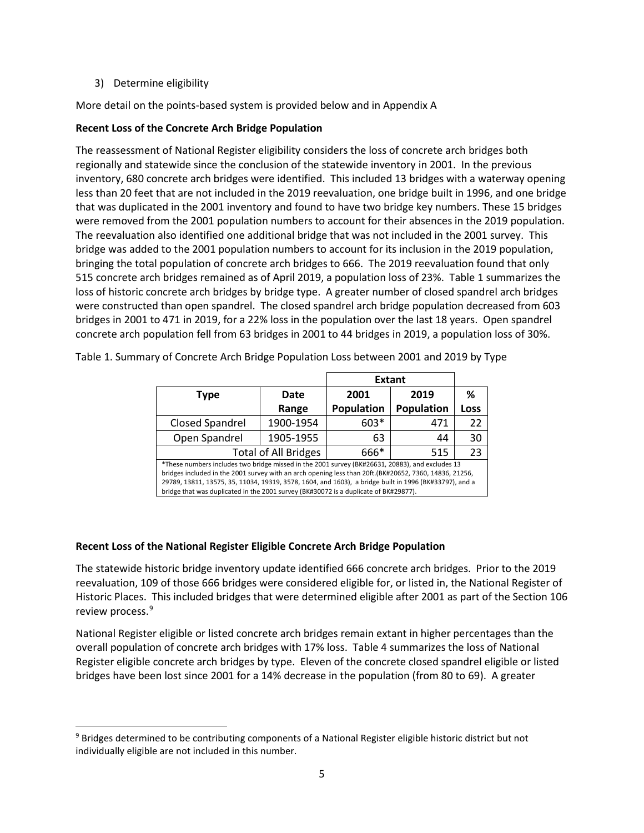3) Determine eligibility

More detail on the points-based system is provided below and in Appendix A

## **Recent Loss of the Concrete Arch Bridge Population**

The reassessment of National Register eligibility considers the loss of concrete arch bridges both regionally and statewide since the conclusion of the statewide inventory in 2001. In the previous inventory, 680 concrete arch bridges were identified. This included 13 bridges with a waterway opening less than 20 feet that are not included in the 2019 reevaluation, one bridge built in 1996, and one bridge that was duplicated in the 2001 inventory and found to have two bridge key numbers. These 15 bridges were removed from the 2001 population numbers to account for their absences in the 2019 population. The reevaluation also identified one additional bridge that was not included in the 2001 survey. This bridge was added to the 2001 population numbers to account for its inclusion in the 2019 population, bringing the total population of concrete arch bridges to 666. The 2019 reevaluation found that only 515 concrete arch bridges remained as of April 2019, a population loss of 23%. Table 1 summarizes the loss of historic concrete arch bridges by bridge type. A greater number of closed spandrel arch bridges were constructed than open spandrel. The closed spandrel arch bridge population decreased from 603 bridges in 2001 to 471 in 2019, for a 22% loss in the population over the last 18 years. Open spandrel concrete arch population fell from 63 bridges in 2001 to 44 bridges in 2019, a population loss of 30%.

|                                                                                                                                                                                                                                                                                                                                                                                                             |           | <b>Extant</b>     |            |      |  |  |
|-------------------------------------------------------------------------------------------------------------------------------------------------------------------------------------------------------------------------------------------------------------------------------------------------------------------------------------------------------------------------------------------------------------|-----------|-------------------|------------|------|--|--|
| <b>Type</b>                                                                                                                                                                                                                                                                                                                                                                                                 | Date      | 2001              | 2019       | ℅    |  |  |
|                                                                                                                                                                                                                                                                                                                                                                                                             | Range     | <b>Population</b> | Population | Loss |  |  |
| <b>Closed Spandrel</b>                                                                                                                                                                                                                                                                                                                                                                                      | 1900-1954 | 603*              | 471        | 22   |  |  |
| Open Spandrel                                                                                                                                                                                                                                                                                                                                                                                               | 1905-1955 | 63                | 44         | 30   |  |  |
| 23<br><b>Total of All Bridges</b><br>666*<br>515                                                                                                                                                                                                                                                                                                                                                            |           |                   |            |      |  |  |
| *These numbers includes two bridge missed in the 2001 survey (BK#26631, 20883), and excludes 13<br>bridges included in the 2001 survey with an arch opening less than 20ft.(BK#20652, 7360, 14836, 21256,<br>29789, 13811, 13575, 35, 11034, 19319, 3578, 1604, and 1603), a bridge built in 1996 (BK#33797), and a<br>bridge that was duplicated in the 2001 survey (BK#30072 is a duplicate of BK#29877). |           |                   |            |      |  |  |

Table 1. Summary of Concrete Arch Bridge Population Loss between 2001 and 2019 by Type

#### **Recent Loss of the National Register Eligible Concrete Arch Bridge Population**

The statewide historic bridge inventory update identified 666 concrete arch bridges. Prior to the 2019 reevaluation, 109 of those 666 bridges were considered eligible for, or listed in, the National Register of Historic Places. This included bridges that were determined eligible after 2001 as part of the Section 106 review process. [9](#page-4-0)

National Register eligible or listed concrete arch bridges remain extant in higher percentages than the overall population of concrete arch bridges with 17% loss. Table 4 summarizes the loss of National Register eligible concrete arch bridges by type. Eleven of the concrete closed spandrel eligible or listed bridges have been lost since 2001 for a 14% decrease in the population (from 80 to 69). A greater

<span id="page-4-0"></span><sup>9</sup> Bridges determined to be contributing components of a National Register eligible historic district but not individually eligible are not included in this number.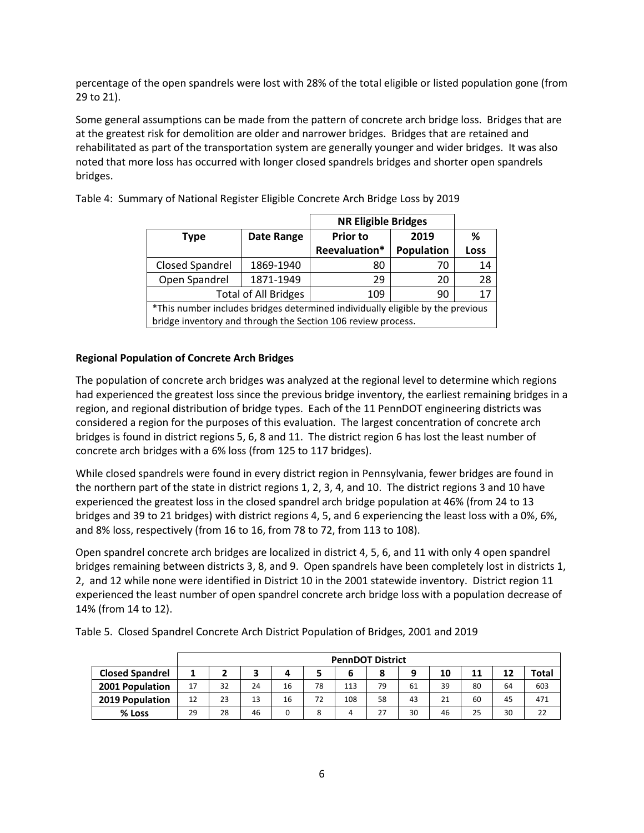percentage of the open spandrels were lost with 28% of the total eligible or listed population gone (from 29 to 21).

Some general assumptions can be made from the pattern of concrete arch bridge loss. Bridges that are at the greatest risk for demolition are older and narrower bridges. Bridges that are retained and rehabilitated as part of the transportation system are generally younger and wider bridges. It was also noted that more loss has occurred with longer closed spandrels bridges and shorter open spandrels bridges.

|                                                                                |                                                              | <b>NR Eligible Bridges</b> |            |      |  |
|--------------------------------------------------------------------------------|--------------------------------------------------------------|----------------------------|------------|------|--|
| <b>Type</b>                                                                    | Date Range                                                   | <b>Prior to</b><br>2019    |            | %    |  |
|                                                                                |                                                              | Reevaluation*              | Population | Loss |  |
| Closed Spandrel<br>1869-1940                                                   |                                                              | 80                         | 70         | 14   |  |
| Open Spandrel                                                                  | 1871-1949                                                    | 29                         | 20         | 28   |  |
|                                                                                | <b>Total of All Bridges</b>                                  | 109                        | 90         | 17   |  |
| *This number includes bridges determined individually eligible by the previous |                                                              |                            |            |      |  |
|                                                                                | bridge inventory and through the Section 106 review process. |                            |            |      |  |

Table 4: Summary of National Register Eligible Concrete Arch Bridge Loss by 2019

#### **Regional Population of Concrete Arch Bridges**

The population of concrete arch bridges was analyzed at the regional level to determine which regions had experienced the greatest loss since the previous bridge inventory, the earliest remaining bridges in a region, and regional distribution of bridge types. Each of the 11 PennDOT engineering districts was considered a region for the purposes of this evaluation. The largest concentration of concrete arch bridges is found in district regions 5, 6, 8 and 11. The district region 6 has lost the least number of concrete arch bridges with a 6% loss (from 125 to 117 bridges).

While closed spandrels were found in every district region in Pennsylvania, fewer bridges are found in the northern part of the state in district regions 1, 2, 3, 4, and 10. The district regions 3 and 10 have experienced the greatest loss in the closed spandrel arch bridge population at 46% (from 24 to 13 bridges and 39 to 21 bridges) with district regions 4, 5, and 6 experiencing the least loss with a 0%, 6%, and 8% loss, respectively (from 16 to 16, from 78 to 72, from 113 to 108).

Open spandrel concrete arch bridges are localized in district 4, 5, 6, and 11 with only 4 open spandrel bridges remaining between districts 3, 8, and 9. Open spandrels have been completely lost in districts 1, 2, and 12 while none were identified in District 10 in the 2001 statewide inventory. District region 11 experienced the least number of open spandrel concrete arch bridge loss with a population decrease of 14% (from 14 to 12).

|                        |    |    |    |    |    | <b>PennDOT District</b> |    |    |    |    |    |       |
|------------------------|----|----|----|----|----|-------------------------|----|----|----|----|----|-------|
| <b>Closed Spandrel</b> |    |    | З  |    |    | b                       | 8  |    | 10 | 11 | 12 | Total |
| 2001 Population        | 17 | 32 | 24 | 16 | 78 | 113                     | 79 | 61 | 39 | 80 | 64 | 603   |
| 2019 Population        | 12 | 23 | 13 | 16 | 72 | 108                     | 58 | 43 | 21 | 60 | 45 | 471   |
| % Loss                 | 29 | 28 | 46 | 0  | 8  | 4                       | 27 | 30 | 46 | 25 | 30 | 22    |

Table 5. Closed Spandrel Concrete Arch District Population of Bridges, 2001 and 2019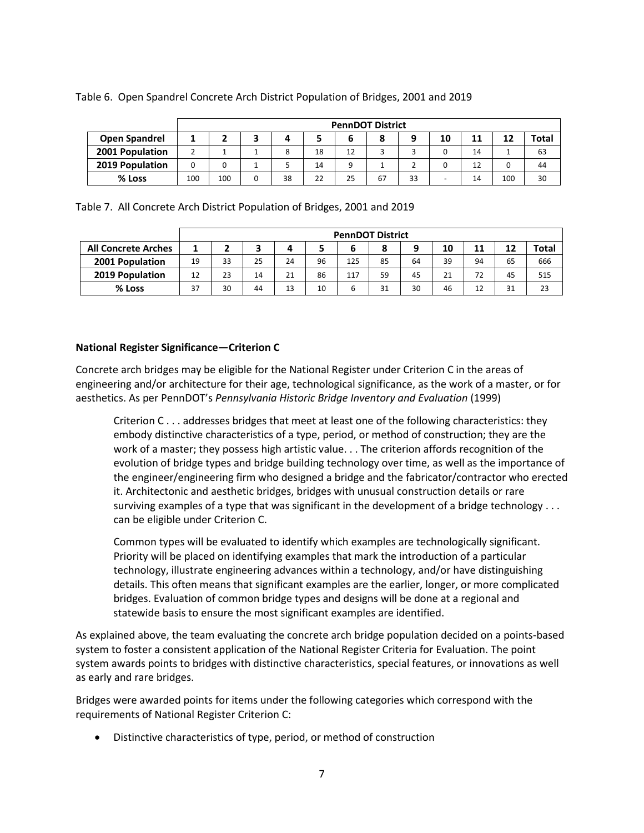|                      |     |     |    |    | <b>PennDOT District</b> |    |    |                          |    |     |              |
|----------------------|-----|-----|----|----|-------------------------|----|----|--------------------------|----|-----|--------------|
| <b>Open Spandrel</b> |     |     |    |    | ь                       | 8  |    | 10                       | 11 | 12  | <b>Total</b> |
| 2001 Population      |     |     | 8  | 18 | 12                      |    |    |                          | 14 |     | 63           |
| 2019 Population      |     |     |    | 14 |                         |    |    |                          | 12 |     | 44           |
| % Loss               | 100 | 100 | 38 | 22 | 25                      | 67 | 33 | $\overline{\phantom{0}}$ | 14 | 100 | 30           |

#### Table 6. Open Spandrel Concrete Arch District Population of Bridges, 2001 and 2019

Table 7. All Concrete Arch District Population of Bridges, 2001 and 2019

|                            |    |    |    |    |    |     | <b>PennDOT District</b> |    |    |    |    |              |
|----------------------------|----|----|----|----|----|-----|-------------------------|----|----|----|----|--------------|
| <b>All Concrete Arches</b> | 1  |    |    | 4  |    | 6   |                         | 9  | 10 | 11 | 12 | <b>Total</b> |
| 2001 Population            | 19 | 33 | 25 | 24 | 96 | 125 | 85                      | 64 | 39 | 94 | 65 | 666          |
| 2019 Population            | 12 | 23 | 14 | 21 | 86 | 117 | 59                      | 45 | 21 | 72 | 45 | 515          |
| % Loss                     | 37 | 30 | 44 | 13 | 10 | 6   | 31                      | 30 | 46 | 12 | 31 | 23           |

#### **National Register Significance—Criterion C**

Concrete arch bridges may be eligible for the National Register under Criterion C in the areas of engineering and/or architecture for their age, technological significance, as the work of a master, or for aesthetics. As per PennDOT's *Pennsylvania Historic Bridge Inventory and Evaluation* (1999)

Criterion C . . . addresses bridges that meet at least one of the following characteristics: they embody distinctive characteristics of a type, period, or method of construction; they are the work of a master; they possess high artistic value. . . The criterion affords recognition of the evolution of bridge types and bridge building technology over time, as well as the importance of the engineer/engineering firm who designed a bridge and the fabricator/contractor who erected it. Architectonic and aesthetic bridges, bridges with unusual construction details or rare surviving examples of a type that was significant in the development of a bridge technology . . . can be eligible under Criterion C.

Common types will be evaluated to identify which examples are technologically significant. Priority will be placed on identifying examples that mark the introduction of a particular technology, illustrate engineering advances within a technology, and/or have distinguishing details. This often means that significant examples are the earlier, longer, or more complicated bridges. Evaluation of common bridge types and designs will be done at a regional and statewide basis to ensure the most significant examples are identified.

As explained above, the team evaluating the concrete arch bridge population decided on a points-based system to foster a consistent application of the National Register Criteria for Evaluation. The point system awards points to bridges with distinctive characteristics, special features, or innovations as well as early and rare bridges.

Bridges were awarded points for items under the following categories which correspond with the requirements of National Register Criterion C:

• Distinctive characteristics of type, period, or method of construction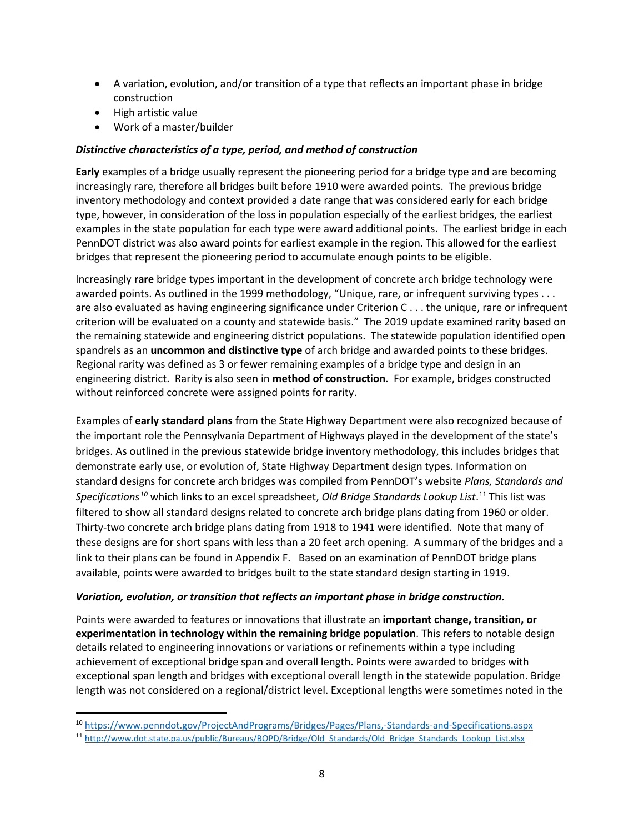- A variation, evolution, and/or transition of a type that reflects an important phase in bridge construction
- High artistic value
- Work of a master/builder

## *Distinctive characteristics of a type, period, and method of construction*

**Early** examples of a bridge usually represent the pioneering period for a bridge type and are becoming increasingly rare, therefore all bridges built before 1910 were awarded points. The previous bridge inventory methodology and context provided a date range that was considered early for each bridge type, however, in consideration of the loss in population especially of the earliest bridges, the earliest examples in the state population for each type were award additional points. The earliest bridge in each PennDOT district was also award points for earliest example in the region. This allowed for the earliest bridges that represent the pioneering period to accumulate enough points to be eligible.

Increasingly **rare** bridge types important in the development of concrete arch bridge technology were awarded points. As outlined in the 1999 methodology, "Unique, rare, or infrequent surviving types . . . are also evaluated as having engineering significance under Criterion C . . . the unique, rare or infrequent criterion will be evaluated on a county and statewide basis." The 2019 update examined rarity based on the remaining statewide and engineering district populations. The statewide population identified open spandrels as an **uncommon and distinctive type** of arch bridge and awarded points to these bridges. Regional rarity was defined as 3 or fewer remaining examples of a bridge type and design in an engineering district. Rarity is also seen in **method of construction**. For example, bridges constructed without reinforced concrete were assigned points for rarity.

Examples of **early standard plans** from the State Highway Department were also recognized because of the important role the Pennsylvania Department of Highways played in the development of the state's bridges. As outlined in the previous statewide bridge inventory methodology, this includes bridges that demonstrate early use, or evolution of, State Highway Department design types. Information on standard designs for concrete arch bridges was compiled from PennDOT's website *Plans, Standards and Specifications[10](#page-7-0)* which links to an excel spreadsheet, *Old Bridge Standards Lookup List*. [11](#page-7-1) This list was filtered to show all standard designs related to concrete arch bridge plans dating from 1960 or older. Thirty-two concrete arch bridge plans dating from 1918 to 1941 were identified. Note that many of these designs are for short spans with less than a 20 feet arch opening. A summary of the bridges and a link to their plans can be found in Appendix F. Based on an examination of PennDOT bridge plans available, points were awarded to bridges built to the state standard design starting in 1919.

#### *Variation, evolution, or transition that reflects an important phase in bridge construction.*

Points were awarded to features or innovations that illustrate an **important change, transition, or experimentation in technology within the remaining bridge population**. This refers to notable design details related to engineering innovations or variations or refinements within a type including achievement of exceptional bridge span and overall length. Points were awarded to bridges with exceptional span length and bridges with exceptional overall length in the statewide population. Bridge length was not considered on a regional/district level. Exceptional lengths were sometimes noted in the

<span id="page-7-0"></span><sup>10</sup> <https://www.penndot.gov/ProjectAndPrograms/Bridges/Pages/Plans,-Standards-and-Specifications.aspx>

<span id="page-7-1"></span><sup>11</sup> [http://www.dot.state.pa.us/public/Bureaus/BOPD/Bridge/Old\\_Standards/Old\\_Bridge\\_Standards\\_Lookup\\_List.xlsx](http://www.dot.state.pa.us/public/Bureaus/BOPD/Bridge/Old_Standards/Old_Bridge_Standards_Lookup_List.xlsx)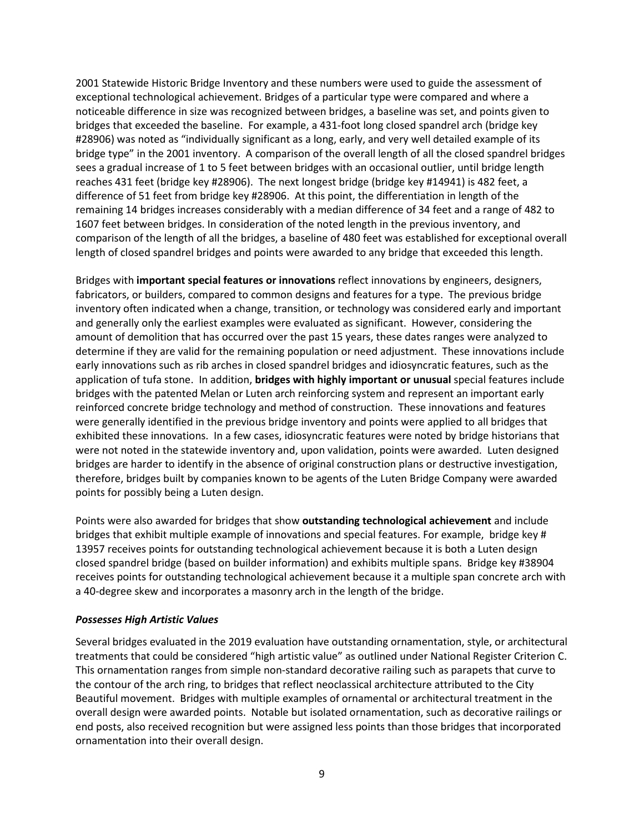2001 Statewide Historic Bridge Inventory and these numbers were used to guide the assessment of exceptional technological achievement. Bridges of a particular type were compared and where a noticeable difference in size was recognized between bridges, a baseline was set, and points given to bridges that exceeded the baseline. For example, a 431-foot long closed spandrel arch (bridge key #28906) was noted as "individually significant as a long, early, and very well detailed example of its bridge type" in the 2001 inventory. A comparison of the overall length of all the closed spandrel bridges sees a gradual increase of 1 to 5 feet between bridges with an occasional outlier, until bridge length reaches 431 feet (bridge key #28906). The next longest bridge (bridge key #14941) is 482 feet, a difference of 51 feet from bridge key #28906. At this point, the differentiation in length of the remaining 14 bridges increases considerably with a median difference of 34 feet and a range of 482 to 1607 feet between bridges. In consideration of the noted length in the previous inventory, and comparison of the length of all the bridges, a baseline of 480 feet was established for exceptional overall length of closed spandrel bridges and points were awarded to any bridge that exceeded this length.

Bridges with **important special features or innovations** reflect innovations by engineers, designers, fabricators, or builders, compared to common designs and features for a type. The previous bridge inventory often indicated when a change, transition, or technology was considered early and important and generally only the earliest examples were evaluated as significant. However, considering the amount of demolition that has occurred over the past 15 years, these dates ranges were analyzed to determine if they are valid for the remaining population or need adjustment. These innovations include early innovations such as rib arches in closed spandrel bridges and idiosyncratic features, such as the application of tufa stone. In addition, **bridges with highly important or unusual** special features include bridges with the patented Melan or Luten arch reinforcing system and represent an important early reinforced concrete bridge technology and method of construction. These innovations and features were generally identified in the previous bridge inventory and points were applied to all bridges that exhibited these innovations. In a few cases, idiosyncratic features were noted by bridge historians that were not noted in the statewide inventory and, upon validation, points were awarded. Luten designed bridges are harder to identify in the absence of original construction plans or destructive investigation, therefore, bridges built by companies known to be agents of the Luten Bridge Company were awarded points for possibly being a Luten design.

Points were also awarded for bridges that show **outstanding technological achievement** and include bridges that exhibit multiple example of innovations and special features. For example, bridge key # 13957 receives points for outstanding technological achievement because it is both a Luten design closed spandrel bridge (based on builder information) and exhibits multiple spans. Bridge key #38904 receives points for outstanding technological achievement because it a multiple span concrete arch with a 40-degree skew and incorporates a masonry arch in the length of the bridge.

#### *Possesses High Artistic Values*

Several bridges evaluated in the 2019 evaluation have outstanding ornamentation, style, or architectural treatments that could be considered "high artistic value" as outlined under National Register Criterion C. This ornamentation ranges from simple non-standard decorative railing such as parapets that curve to the contour of the arch ring, to bridges that reflect neoclassical architecture attributed to the City Beautiful movement. Bridges with multiple examples of ornamental or architectural treatment in the overall design were awarded points. Notable but isolated ornamentation, such as decorative railings or end posts, also received recognition but were assigned less points than those bridges that incorporated ornamentation into their overall design.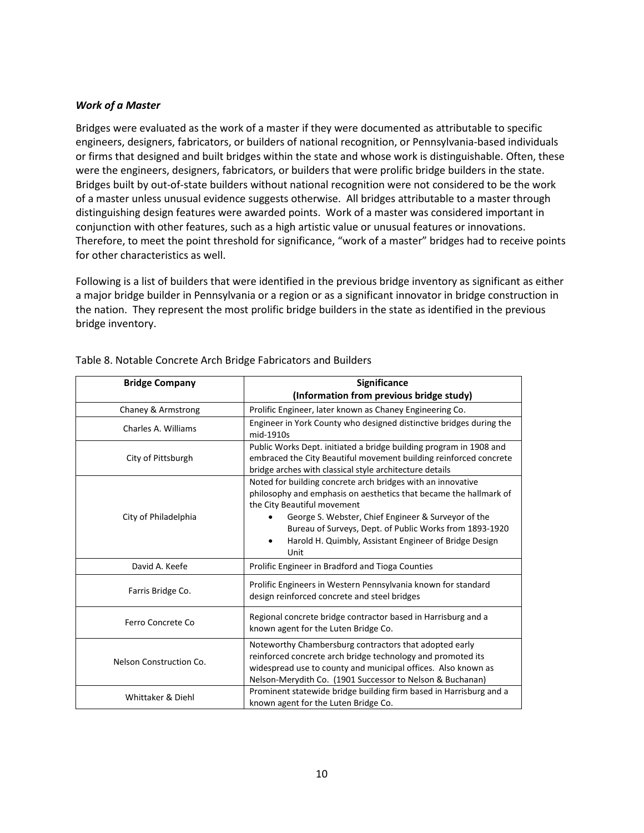#### *Work of a Master*

Bridges were evaluated as the work of a master if they were documented as attributable to specific engineers, designers, fabricators, or builders of national recognition, or Pennsylvania-based individuals or firms that designed and built bridges within the state and whose work is distinguishable. Often, these were the engineers, designers, fabricators, or builders that were prolific bridge builders in the state. Bridges built by out-of-state builders without national recognition were not considered to be the work of a master unless unusual evidence suggests otherwise. All bridges attributable to a master through distinguishing design features were awarded points. Work of a master was considered important in conjunction with other features, such as a high artistic value or unusual features or innovations. Therefore, to meet the point threshold for significance, "work of a master" bridges had to receive points for other characteristics as well.

Following is a list of builders that were identified in the previous bridge inventory as significant as either a major bridge builder in Pennsylvania or a region or as a significant innovator in bridge construction in the nation. They represent the most prolific bridge builders in the state as identified in the previous bridge inventory.

| <b>Bridge Company</b>   | Significance                                                                                                                                                                                                                                                                                                                                                     |
|-------------------------|------------------------------------------------------------------------------------------------------------------------------------------------------------------------------------------------------------------------------------------------------------------------------------------------------------------------------------------------------------------|
|                         | (Information from previous bridge study)                                                                                                                                                                                                                                                                                                                         |
| Chaney & Armstrong      | Prolific Engineer, later known as Chaney Engineering Co.                                                                                                                                                                                                                                                                                                         |
| Charles A. Williams     | Engineer in York County who designed distinctive bridges during the<br>mid-1910s                                                                                                                                                                                                                                                                                 |
| City of Pittsburgh      | Public Works Dept. initiated a bridge building program in 1908 and<br>embraced the City Beautiful movement building reinforced concrete<br>bridge arches with classical style architecture details                                                                                                                                                               |
| City of Philadelphia    | Noted for building concrete arch bridges with an innovative<br>philosophy and emphasis on aesthetics that became the hallmark of<br>the City Beautiful movement<br>George S. Webster, Chief Engineer & Surveyor of the<br>Bureau of Surveys, Dept. of Public Works from 1893-1920<br>Harold H. Quimbly, Assistant Engineer of Bridge Design<br>$\bullet$<br>Unit |
| David A. Keefe          | Prolific Engineer in Bradford and Tioga Counties                                                                                                                                                                                                                                                                                                                 |
| Farris Bridge Co.       | Prolific Engineers in Western Pennsylvania known for standard<br>design reinforced concrete and steel bridges                                                                                                                                                                                                                                                    |
| Ferro Concrete Co       | Regional concrete bridge contractor based in Harrisburg and a<br>known agent for the Luten Bridge Co.                                                                                                                                                                                                                                                            |
| Nelson Construction Co. | Noteworthy Chambersburg contractors that adopted early<br>reinforced concrete arch bridge technology and promoted its<br>widespread use to county and municipal offices. Also known as<br>Nelson-Merydith Co. (1901 Successor to Nelson & Buchanan)                                                                                                              |
| Whittaker & Diehl       | Prominent statewide bridge building firm based in Harrisburg and a<br>known agent for the Luten Bridge Co.                                                                                                                                                                                                                                                       |

Table 8. Notable Concrete Arch Bridge Fabricators and Builders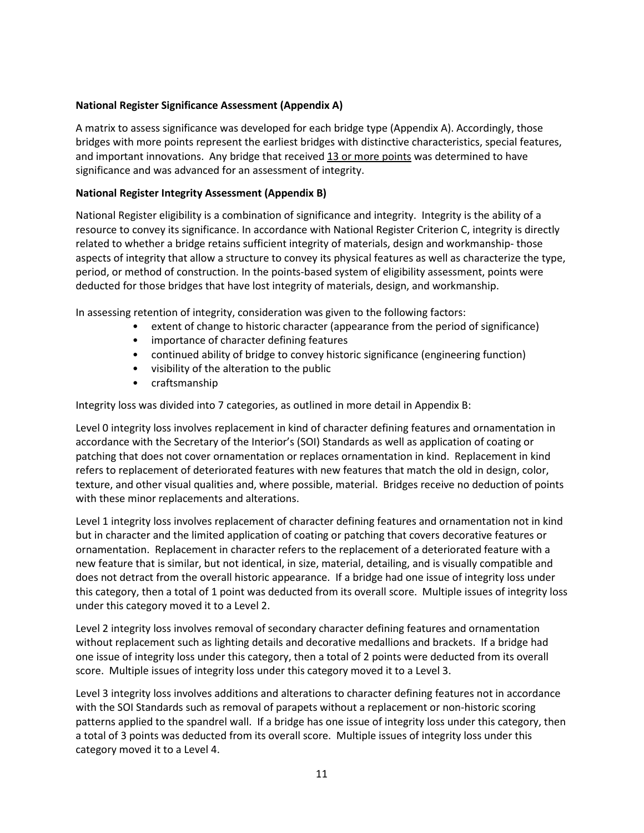#### **National Register Significance Assessment (Appendix A)**

A matrix to assess significance was developed for each bridge type (Appendix A). Accordingly, those bridges with more points represent the earliest bridges with distinctive characteristics, special features, and important innovations. Any bridge that received 13 or more points was determined to have significance and was advanced for an assessment of integrity.

#### **National Register Integrity Assessment (Appendix B)**

National Register eligibility is a combination of significance and integrity. Integrity is the ability of a resource to convey its significance. In accordance with National Register Criterion C, integrity is directly related to whether a bridge retains sufficient integrity of materials, design and workmanship- those aspects of integrity that allow a structure to convey its physical features as well as characterize the type, period, or method of construction. In the points-based system of eligibility assessment, points were deducted for those bridges that have lost integrity of materials, design, and workmanship.

In assessing retention of integrity, consideration was given to the following factors:

- extent of change to historic character (appearance from the period of significance)
- importance of character defining features
- continued ability of bridge to convey historic significance (engineering function)
- visibility of the alteration to the public
- craftsmanship

Integrity loss was divided into 7 categories, as outlined in more detail in Appendix B:

Level 0 integrity loss involves replacement in kind of character defining features and ornamentation in accordance with the Secretary of the Interior's (SOI) Standards as well as application of coating or patching that does not cover ornamentation or replaces ornamentation in kind. Replacement in kind refers to replacement of deteriorated features with new features that match the old in design, color, texture, and other visual qualities and, where possible, material. Bridges receive no deduction of points with these minor replacements and alterations.

Level 1 integrity loss involves replacement of character defining features and ornamentation not in kind but in character and the limited application of coating or patching that covers decorative features or ornamentation. Replacement in character refers to the replacement of a deteriorated feature with a new feature that is similar, but not identical, in size, material, detailing, and is visually compatible and does not detract from the overall historic appearance. If a bridge had one issue of integrity loss under this category, then a total of 1 point was deducted from its overall score. Multiple issues of integrity loss under this category moved it to a Level 2.

Level 2 integrity loss involves removal of secondary character defining features and ornamentation without replacement such as lighting details and decorative medallions and brackets. If a bridge had one issue of integrity loss under this category, then a total of 2 points were deducted from its overall score. Multiple issues of integrity loss under this category moved it to a Level 3.

Level 3 integrity loss involves additions and alterations to character defining features not in accordance with the SOI Standards such as removal of parapets without a replacement or non-historic scoring patterns applied to the spandrel wall. If a bridge has one issue of integrity loss under this category, then a total of 3 points was deducted from its overall score. Multiple issues of integrity loss under this category moved it to a Level 4.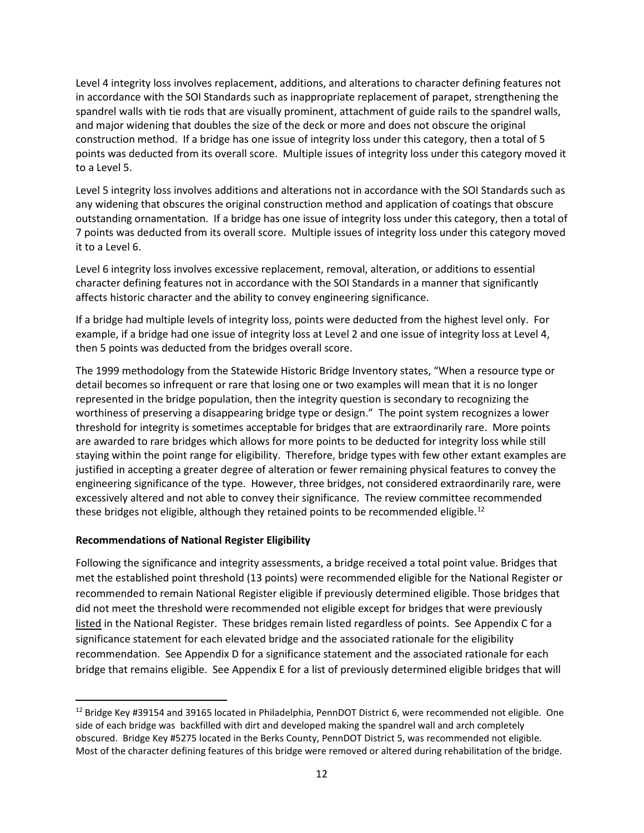Level 4 integrity loss involves replacement, additions, and alterations to character defining features not in accordance with the SOI Standards such as inappropriate replacement of parapet, strengthening the spandrel walls with tie rods that are visually prominent, attachment of guide rails to the spandrel walls, and major widening that doubles the size of the deck or more and does not obscure the original construction method. If a bridge has one issue of integrity loss under this category, then a total of 5 points was deducted from its overall score. Multiple issues of integrity loss under this category moved it to a Level 5.

Level 5 integrity loss involves additions and alterations not in accordance with the SOI Standards such as any widening that obscures the original construction method and application of coatings that obscure outstanding ornamentation. If a bridge has one issue of integrity loss under this category, then a total of 7 points was deducted from its overall score. Multiple issues of integrity loss under this category moved it to a Level 6.

Level 6 integrity loss involves excessive replacement, removal, alteration, or additions to essential character defining features not in accordance with the SOI Standards in a manner that significantly affects historic character and the ability to convey engineering significance.

If a bridge had multiple levels of integrity loss, points were deducted from the highest level only. For example, if a bridge had one issue of integrity loss at Level 2 and one issue of integrity loss at Level 4, then 5 points was deducted from the bridges overall score.

The 1999 methodology from the Statewide Historic Bridge Inventory states, "When a resource type or detail becomes so infrequent or rare that losing one or two examples will mean that it is no longer represented in the bridge population, then the integrity question is secondary to recognizing the worthiness of preserving a disappearing bridge type or design." The point system recognizes a lower threshold for integrity is sometimes acceptable for bridges that are extraordinarily rare. More points are awarded to rare bridges which allows for more points to be deducted for integrity loss while still staying within the point range for eligibility. Therefore, bridge types with few other extant examples are justified in accepting a greater degree of alteration or fewer remaining physical features to convey the engineering significance of the type. However, three bridges, not considered extraordinarily rare, were excessively altered and not able to convey their significance. The review committee recommended these bridges not eligible, although they retained points to be recommended eligible.<sup>[12](#page-11-0)</sup>

#### **Recommendations of National Register Eligibility**

Following the significance and integrity assessments, a bridge received a total point value. Bridges that met the established point threshold (13 points) were recommended eligible for the National Register or recommended to remain National Register eligible if previously determined eligible. Those bridges that did not meet the threshold were recommended not eligible except for bridges that were previously listed in the National Register. These bridges remain listed regardless of points. See Appendix C for a significance statement for each elevated bridge and the associated rationale for the eligibility recommendation. See Appendix D for a significance statement and the associated rationale for each bridge that remains eligible. See Appendix E for a list of previously determined eligible bridges that will

<span id="page-11-0"></span><sup>&</sup>lt;sup>12</sup> Bridge Key #39154 and 39165 located in Philadelphia, PennDOT District 6, were recommended not eligible. One side of each bridge was backfilled with dirt and developed making the spandrel wall and arch completely obscured. Bridge Key #5275 located in the Berks County, PennDOT District 5, was recommended not eligible. Most of the character defining features of this bridge were removed or altered during rehabilitation of the bridge.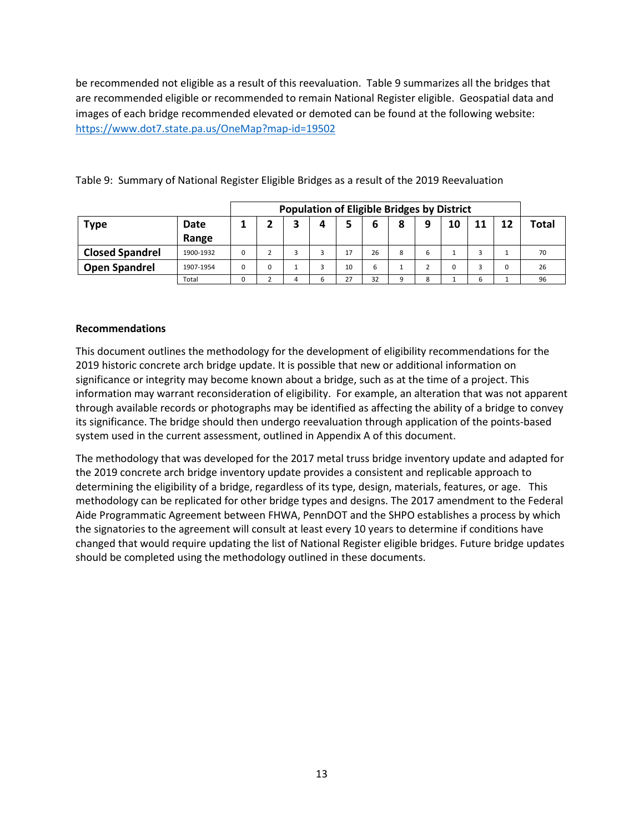be recommended not eligible as a result of this reevaluation. Table 9 summarizes all the bridges that are recommended eligible or recommended to remain National Register eligible. Geospatial data and images of each bridge recommended elevated or demoted can be found at the following website: <https://www.dot7.state.pa.us/OneMap?map-id=19502>

|                        |           |          | <b>Population of Eligible Bridges by District</b> |   |  |    |    |   |   |    |    |    |       |
|------------------------|-----------|----------|---------------------------------------------------|---|--|----|----|---|---|----|----|----|-------|
| <b>Type</b>            | Date      |          |                                                   |   |  |    | 6  | 8 | 9 | 10 | 11 | 12 | Total |
|                        | Range     |          |                                                   |   |  |    |    |   |   |    |    |    |       |
| <b>Closed Spandrel</b> | 1900-1932 | $\Omega$ |                                                   |   |  | 17 | 26 | 8 | b |    |    |    | 70    |
| <b>Open Spandrel</b>   | 1907-1954 | $\Omega$ | 0                                                 |   |  | 10 | b  |   |   |    |    |    | 26    |
|                        | Total     | 0        |                                                   | 4 |  | 27 | 32 | q | 8 |    | 6  |    | 96    |

Table 9: Summary of National Register Eligible Bridges as a result of the 2019 Reevaluation

#### **Recommendations**

This document outlines the methodology for the development of eligibility recommendations for the 2019 historic concrete arch bridge update. It is possible that new or additional information on significance or integrity may become known about a bridge, such as at the time of a project. This information may warrant reconsideration of eligibility. For example, an alteration that was not apparent through available records or photographs may be identified as affecting the ability of a bridge to convey its significance. The bridge should then undergo reevaluation through application of the points-based system used in the current assessment, outlined in Appendix A of this document.

The methodology that was developed for the 2017 metal truss bridge inventory update and adapted for the 2019 concrete arch bridge inventory update provides a consistent and replicable approach to determining the eligibility of a bridge, regardless of its type, design, materials, features, or age. This methodology can be replicated for other bridge types and designs. The 2017 amendment to the Federal Aide Programmatic Agreement between FHWA, PennDOT and the SHPO establishes a process by which the signatories to the agreement will consult at least every 10 years to determine if conditions have changed that would require updating the list of National Register eligible bridges. Future bridge updates should be completed using the methodology outlined in these documents.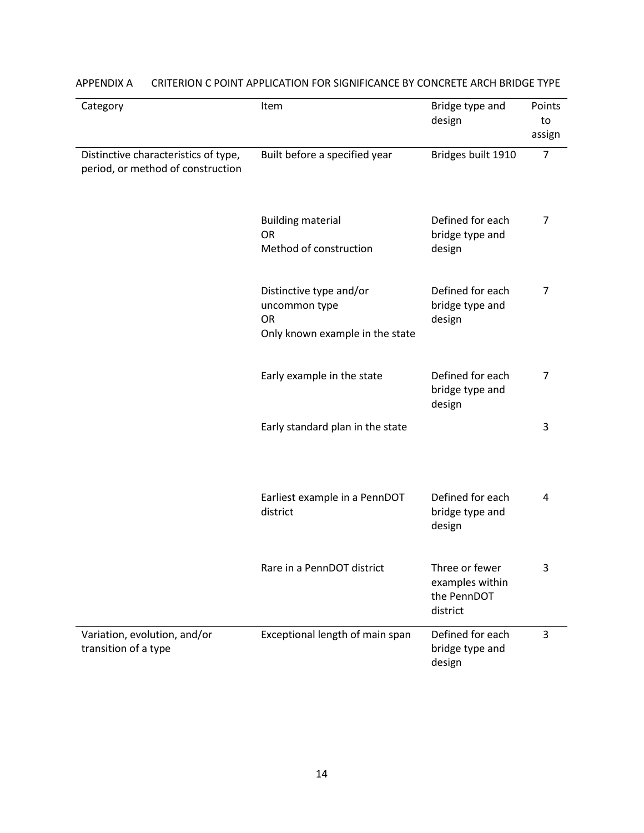| Category                                                                  | Item                                                                              | Bridge type and<br>design                                    | Points<br>to<br>assign |
|---------------------------------------------------------------------------|-----------------------------------------------------------------------------------|--------------------------------------------------------------|------------------------|
| Distinctive characteristics of type,<br>period, or method of construction | Built before a specified year                                                     | Bridges built 1910                                           | $\overline{7}$         |
|                                                                           | <b>Building material</b><br><b>OR</b><br>Method of construction                   | Defined for each<br>bridge type and<br>design                | 7                      |
|                                                                           | Distinctive type and/or<br>uncommon type<br>OR<br>Only known example in the state | Defined for each<br>bridge type and<br>design                | 7                      |
|                                                                           | Early example in the state                                                        | Defined for each<br>bridge type and<br>design                | $\overline{7}$         |
|                                                                           | Early standard plan in the state                                                  |                                                              | 3                      |
|                                                                           | Earliest example in a PennDOT<br>district                                         | Defined for each<br>bridge type and<br>design                | 4                      |
|                                                                           | Rare in a PennDOT district                                                        | Three or fewer<br>examples within<br>the PennDOT<br>district | 3                      |
| Variation, evolution, and/or<br>transition of a type                      | Exceptional length of main span                                                   | Defined for each<br>bridge type and<br>design                | 3                      |

# APPENDIX A CRITERION C POINT APPLICATION FOR SIGNIFICANCE BY CONCRETE ARCH BRIDGE TYPE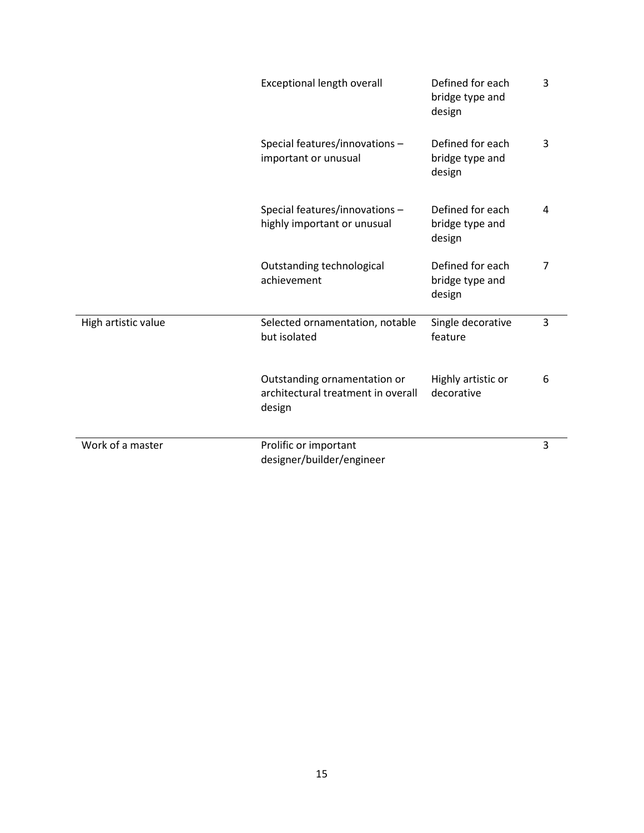|                     | Exceptional length overall                                                   | Defined for each<br>bridge type and<br>design | 3              |
|---------------------|------------------------------------------------------------------------------|-----------------------------------------------|----------------|
|                     | Special features/innovations-<br>important or unusual                        | Defined for each<br>bridge type and<br>design | 3              |
|                     | Special features/innovations-<br>highly important or unusual                 | Defined for each<br>bridge type and<br>design | 4              |
|                     | Outstanding technological<br>achievement                                     | Defined for each<br>bridge type and<br>design | $\overline{7}$ |
| High artistic value | Selected ornamentation, notable<br>but isolated                              | Single decorative<br>feature                  | 3              |
|                     | Outstanding ornamentation or<br>architectural treatment in overall<br>design | Highly artistic or<br>decorative              | 6              |
| Work of a master    | Prolific or important<br>designer/builder/engineer                           |                                               | 3              |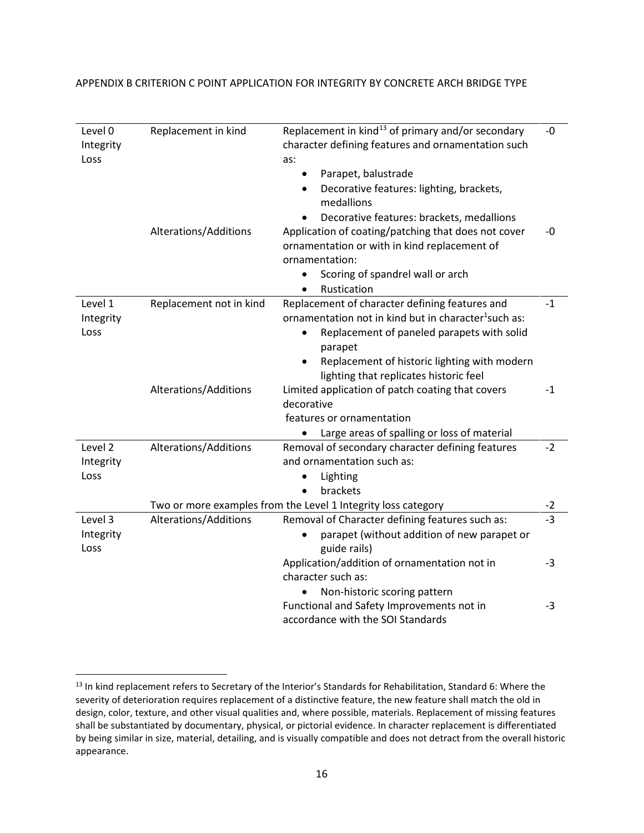| Level 0<br>Integrity | Replacement in kind     | Replacement in kind <sup>13</sup> of primary and/or secondary<br>character defining features and ornamentation such | -0   |
|----------------------|-------------------------|---------------------------------------------------------------------------------------------------------------------|------|
| Loss                 |                         | as:                                                                                                                 |      |
|                      |                         | Parapet, balustrade                                                                                                 |      |
|                      |                         | Decorative features: lighting, brackets,<br>$\bullet$                                                               |      |
|                      |                         | medallions                                                                                                          |      |
|                      |                         | Decorative features: brackets, medallions                                                                           |      |
|                      | Alterations/Additions   | Application of coating/patching that does not cover                                                                 | -0   |
|                      |                         | ornamentation or with in kind replacement of                                                                        |      |
|                      |                         | ornamentation:                                                                                                      |      |
|                      |                         | Scoring of spandrel wall or arch                                                                                    |      |
|                      |                         | Rustication                                                                                                         |      |
| Level 1              | Replacement not in kind | Replacement of character defining features and                                                                      | $-1$ |
| Integrity            |                         | ornamentation not in kind but in character <sup>1</sup> such as:                                                    |      |
| Loss                 |                         | Replacement of paneled parapets with solid                                                                          |      |
|                      |                         | parapet                                                                                                             |      |
|                      |                         | Replacement of historic lighting with modern<br>$\bullet$                                                           |      |
|                      |                         | lighting that replicates historic feel                                                                              |      |
|                      | Alterations/Additions   | Limited application of patch coating that covers                                                                    | $-1$ |
|                      |                         | decorative                                                                                                          |      |
|                      |                         | features or ornamentation                                                                                           |      |
| Level 2              | Alterations/Additions   | Large areas of spalling or loss of material<br>Removal of secondary character defining features                     | $-2$ |
| Integrity            |                         | and ornamentation such as:                                                                                          |      |
| Loss                 |                         | Lighting                                                                                                            |      |
|                      |                         | brackets<br>$\bullet$                                                                                               |      |
|                      |                         | Two or more examples from the Level 1 Integrity loss category                                                       | $-2$ |
| Level 3              | Alterations/Additions   | Removal of Character defining features such as:                                                                     | $-3$ |
| Integrity            |                         | parapet (without addition of new parapet or                                                                         |      |
| Loss                 |                         | guide rails)                                                                                                        |      |
|                      |                         | Application/addition of ornamentation not in                                                                        | -3   |
|                      |                         | character such as:                                                                                                  |      |
|                      |                         | Non-historic scoring pattern                                                                                        |      |
|                      |                         | Functional and Safety Improvements not in                                                                           | $-3$ |
|                      |                         | accordance with the SOI Standards                                                                                   |      |

#### APPENDIX B CRITERION C POINT APPLICATION FOR INTEGRITY BY CONCRETE ARCH BRIDGE TYPE

<span id="page-15-0"></span><sup>&</sup>lt;sup>13</sup> In kind replacement refers to Secretary of the Interior's Standards for Rehabilitation, Standard 6: Where the severity of deterioration requires replacement of a distinctive feature, the new feature shall match the old in design, color, texture, and other visual qualities and, where possible, materials. Replacement of missing features shall be substantiated by documentary, physical, or pictorial evidence. In character replacement is differentiated by being similar in size, material, detailing, and is visually compatible and does not detract from the overall historic appearance.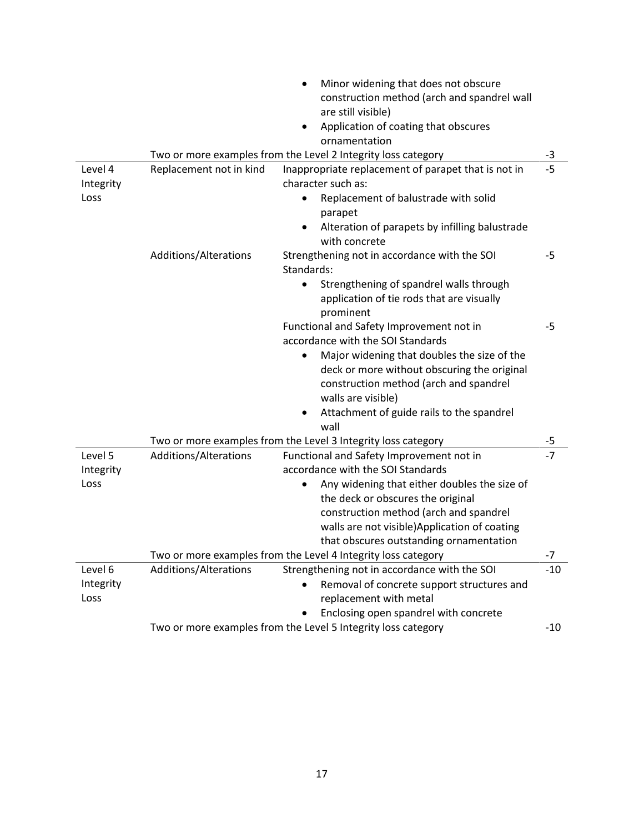|           |                         | Minor widening that does not obscure                                         |       |
|-----------|-------------------------|------------------------------------------------------------------------------|-------|
|           |                         | construction method (arch and spandrel wall                                  |       |
|           |                         | are still visible)                                                           |       |
|           |                         | Application of coating that obscures<br>$\bullet$                            |       |
|           |                         | ornamentation                                                                |       |
|           |                         | Two or more examples from the Level 2 Integrity loss category                | $-3$  |
| Level 4   | Replacement not in kind | Inappropriate replacement of parapet that is not in                          | $-5$  |
| Integrity |                         | character such as:                                                           |       |
| Loss      |                         | Replacement of balustrade with solid                                         |       |
|           |                         | parapet                                                                      |       |
|           |                         | Alteration of parapets by infilling balustrade<br>$\bullet$<br>with concrete |       |
|           | Additions/Alterations   | Strengthening not in accordance with the SOI                                 | $-5$  |
|           |                         | Standards:                                                                   |       |
|           |                         | Strengthening of spandrel walls through                                      |       |
|           |                         | application of tie rods that are visually                                    |       |
|           |                         | prominent<br>Functional and Safety Improvement not in                        | $-5$  |
|           |                         | accordance with the SOI Standards                                            |       |
|           |                         | Major widening that doubles the size of the<br>$\bullet$                     |       |
|           |                         | deck or more without obscuring the original                                  |       |
|           |                         | construction method (arch and spandrel                                       |       |
|           |                         | walls are visible)                                                           |       |
|           |                         | Attachment of guide rails to the spandrel                                    |       |
|           |                         | wall                                                                         |       |
|           |                         | Two or more examples from the Level 3 Integrity loss category                | -5    |
| Level 5   | Additions/Alterations   | Functional and Safety Improvement not in                                     | $-7$  |
| Integrity |                         | accordance with the SOI Standards                                            |       |
| Loss      |                         | Any widening that either doubles the size of                                 |       |
|           |                         | the deck or obscures the original                                            |       |
|           |                         | construction method (arch and spandrel                                       |       |
|           |                         | walls are not visible) Application of coating                                |       |
|           |                         | that obscures outstanding ornamentation                                      |       |
|           |                         | Two or more examples from the Level 4 Integrity loss category                | $-7$  |
| Level 6   | Additions/Alterations   | Strengthening not in accordance with the SOI                                 | $-10$ |
| Integrity |                         | Removal of concrete support structures and                                   |       |
| Loss      |                         | replacement with metal                                                       |       |
|           |                         | Enclosing open spandrel with concrete                                        |       |
|           |                         | Two or more examples from the Level 5 Integrity loss category                | $-10$ |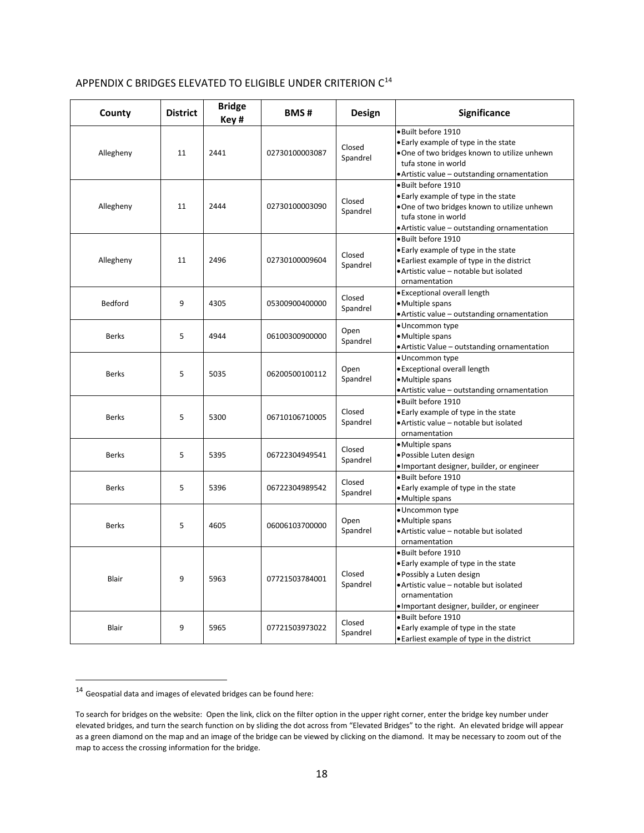| APPENDIX C BRIDGES ELEVATED TO ELIGIBLE UNDER CRITERION C <sup>14</sup> |
|-------------------------------------------------------------------------|
|-------------------------------------------------------------------------|

| County         | <b>District</b> | <b>Bridge</b><br>Key# | <b>BMS#</b>    | Design             | <b>Significance</b>                                                                                                                                                                                |
|----------------|-----------------|-----------------------|----------------|--------------------|----------------------------------------------------------------------------------------------------------------------------------------------------------------------------------------------------|
| Allegheny      | 11              | 2441                  | 02730100003087 | Closed<br>Spandrel | · Built before 1910<br>• Early example of type in the state<br>. One of two bridges known to utilize unhewn<br>tufa stone in world<br>• Artistic value - outstanding ornamentation                 |
| Allegheny      | 11              | 2444                  | 02730100003090 | Closed<br>Spandrel | ·Built before 1910<br>. Early example of type in the state<br>. One of two bridges known to utilize unhewn<br>tufa stone in world<br>• Artistic value - outstanding ornamentation                  |
| Allegheny      | 11              | 2496                  | 02730100009604 | Closed<br>Spandrel | · Built before 1910<br>• Early example of type in the state<br>• Earliest example of type in the district<br>• Artistic value – notable but isolated<br>ornamentation                              |
| <b>Bedford</b> | 9               | 4305                  | 05300900400000 | Closed<br>Spandrel | · Exceptional overall length<br>• Multiple spans<br>• Artistic value – outstanding ornamentation                                                                                                   |
| <b>Berks</b>   | 5               | 4944                  | 06100300900000 | Open<br>Spandrel   | · Uncommon type<br>·Multiple spans<br>· Artistic Value - outstanding ornamentation                                                                                                                 |
| Berks          | 5               | 5035                  | 06200500100112 | Open<br>Spandrel   | · Uncommon type<br>• Exceptional overall length<br>• Multiple spans<br>• Artistic value - outstanding ornamentation                                                                                |
| <b>Berks</b>   | 5               | 5300                  | 06710106710005 | Closed<br>Spandrel | ·Built before 1910<br>• Early example of type in the state<br>• Artistic value - notable but isolated<br>ornamentation                                                                             |
| <b>Berks</b>   | 5               | 5395                  | 06722304949541 | Closed<br>Spandrel | · Multiple spans<br>· Possible Luten design<br>· Important designer, builder, or engineer                                                                                                          |
| <b>Berks</b>   | 5               | 5396                  | 06722304989542 | Closed<br>Spandrel | · Built before 1910<br>• Early example of type in the state<br>• Multiple spans                                                                                                                    |
| <b>Berks</b>   | 5               | 4605                  | 06006103700000 | Open<br>Spandrel   | · Uncommon type<br>·Multiple spans<br>• Artistic value - notable but isolated<br>ornamentation                                                                                                     |
| Blair          | 9               | 5963                  | 07721503784001 | Closed<br>Spandrel | · Built before 1910<br>• Early example of type in the state<br>• Possibly a Luten design<br>• Artistic value - notable but isolated<br>ornamentation<br>• Important designer, builder, or engineer |
| <b>Blair</b>   | 9               | 5965                  | 07721503973022 | Closed<br>Spandrel | · Built before 1910<br>• Early example of type in the state<br>• Earliest example of type in the district                                                                                          |

<span id="page-17-0"></span> $^{14}$  Geospatial data and images of elevated bridges can be found here:

To search for bridges on the website: Open the link, click on the filter option in the upper right corner, enter the bridge key number under elevated bridges, and turn the search function on by sliding the dot across from "Elevated Bridges" to the right. An elevated bridge will appear as a green diamond on the map and an image of the bridge can be viewed by clicking on the diamond. It may be necessary to zoom out of the map to access the crossing information for the bridge.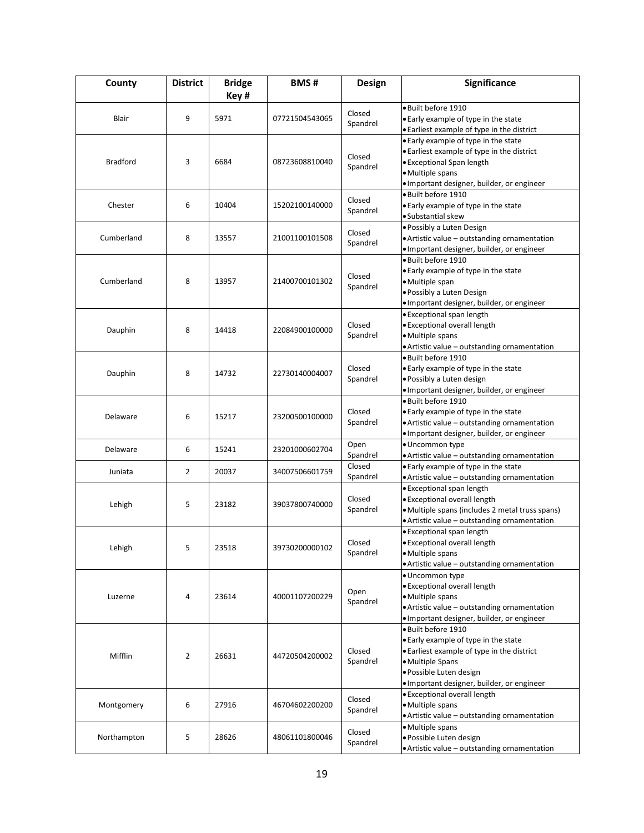| County          | <b>District</b> | <b>Bridge</b> | <b>BMS#</b>    | Design   | Significance                                                                       |
|-----------------|-----------------|---------------|----------------|----------|------------------------------------------------------------------------------------|
|                 |                 | Key#          |                |          |                                                                                    |
|                 |                 |               |                | Closed   | · Built before 1910                                                                |
| Blair           | 9               | 5971          | 07721504543065 | Spandrel | . Early example of type in the state                                               |
|                 |                 |               |                |          | . Earliest example of type in the district                                         |
|                 |                 |               |                |          | • Early example of type in the state<br>• Earliest example of type in the district |
| <b>Bradford</b> | 3               | 6684          | 08723608810040 | Closed   | • Exceptional Span length                                                          |
|                 |                 |               |                | Spandrel | · Multiple spans                                                                   |
|                 |                 |               |                |          | · Important designer, builder, or engineer                                         |
|                 |                 |               |                |          | · Built before 1910                                                                |
| Chester         | 6               | 10404         | 15202100140000 | Closed   | . Early example of type in the state                                               |
|                 |                 |               |                | Spandrel | ·Substantial skew                                                                  |
|                 |                 |               |                |          | · Possibly a Luten Design                                                          |
| Cumberland      | 8               | 13557         | 21001100101508 | Closed   | • Artistic value - outstanding ornamentation                                       |
|                 |                 |               |                | Spandrel | · Important designer, builder, or engineer                                         |
|                 |                 |               |                |          | · Built before 1910                                                                |
|                 |                 |               |                | Closed   | . Early example of type in the state                                               |
| Cumberland      | 8               | 13957         | 21400700101302 | Spandrel | ·Multiple span                                                                     |
|                 |                 |               |                |          | · Possibly a Luten Design                                                          |
|                 |                 |               |                |          | · Important designer, builder, or engineer                                         |
|                 |                 |               |                |          | • Exceptional span length                                                          |
| Dauphin         | 8               | 14418         | 22084900100000 | Closed   | · Exceptional overall length                                                       |
|                 |                 |               |                | Spandrel | ·Multiple spans                                                                    |
|                 |                 |               |                |          | · Artistic value - outstanding ornamentation                                       |
|                 |                 |               |                |          | · Built before 1910                                                                |
| Dauphin         | 8               | 14732         | 22730140004007 | Closed   | . Early example of type in the state                                               |
|                 |                 |               |                | Spandrel | · Possibly a Luten design                                                          |
|                 |                 |               |                |          | · Important designer, builder, or engineer                                         |
|                 |                 |               |                |          | •Built before 1910                                                                 |
| Delaware        | 6               | 15217         | 23200500100000 | Closed   | . Early example of type in the state                                               |
|                 |                 |               |                | Spandrel | • Artistic value - outstanding ornamentation                                       |
|                 |                 |               |                |          | · Important designer, builder, or engineer                                         |
| Delaware        | 6               | 15241         | 23201000602704 | Open     | · Uncommon type                                                                    |
|                 |                 |               |                | Spandrel | • Artistic value - outstanding ornamentation                                       |
| Juniata         | $\overline{2}$  | 20037         | 34007506601759 | Closed   | . Early example of type in the state                                               |
|                 |                 |               |                | Spandrel | • Artistic value - outstanding ornamentation                                       |
|                 |                 |               |                |          | • Exceptional span length                                                          |
| Lehigh          | 5               | 23182         | 39037800740000 | Closed   | · Exceptional overall length                                                       |
|                 |                 |               |                | Spandrel | · Multiple spans (includes 2 metal truss spans)                                    |
|                 |                 |               |                |          | • Artistic value - outstanding ornamentation<br>• Exceptional span length          |
|                 |                 |               |                | Closed   | • Exceptional overall length                                                       |
| Lehigh          | 5               | 23518         | 39730200000102 | Spandrel | • Multiple spans                                                                   |
|                 |                 |               |                |          | . Artistic value - outstanding ornamentation                                       |
|                 |                 |               |                |          | · Uncommon type                                                                    |
|                 |                 |               |                |          | · Exceptional overall length                                                       |
| Luzerne         | 4               | 23614         | 40001107200229 | Open     | ·Multiple spans                                                                    |
|                 |                 |               |                | Spandrel | • Artistic value - outstanding ornamentation                                       |
|                 |                 |               |                |          | · Important designer, builder, or engineer                                         |
|                 |                 |               |                |          | · Built before 1910                                                                |
|                 |                 |               |                |          | . Early example of type in the state                                               |
|                 |                 |               |                | Closed   | . Earliest example of type in the district                                         |
| Mifflin         | $\overline{2}$  | 26631         | 44720504200002 | Spandrel | • Multiple Spans                                                                   |
|                 |                 |               |                |          | · Possible Luten design                                                            |
|                 |                 |               |                |          | · Important designer, builder, or engineer                                         |
|                 |                 |               |                | Closed   | <b>• Exceptional overall length</b>                                                |
| Montgomery      | 6               | 27916         | 46704602200200 | Spandrel | · Multiple spans                                                                   |
|                 |                 |               |                |          | • Artistic value - outstanding ornamentation                                       |
|                 |                 |               |                | Closed   | ·Multiple spans                                                                    |
| Northampton     | 5               | 28626         | 48061101800046 | Spandrel | · Possible Luten design                                                            |
|                 |                 |               |                |          | • Artistic value - outstanding ornamentation                                       |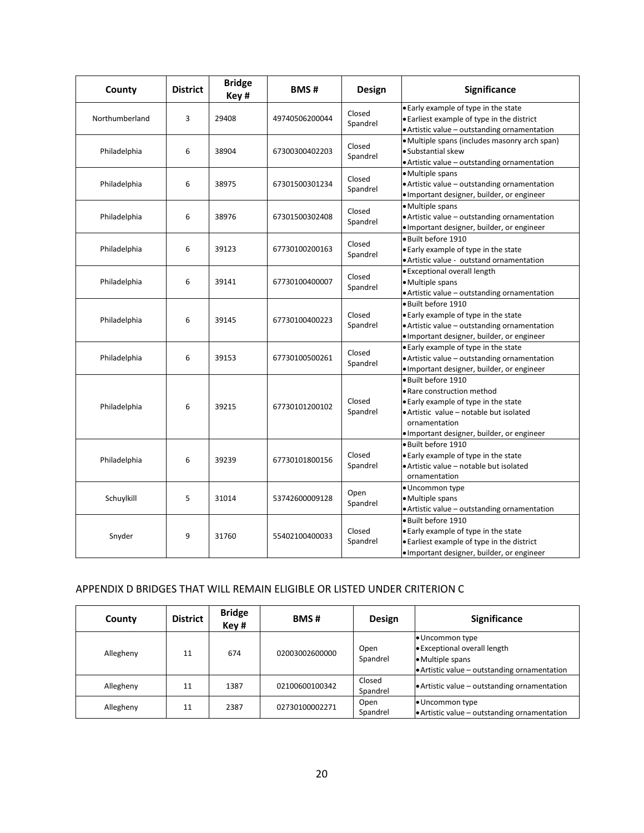| County         | <b>District</b> | <b>Bridge</b><br>Key# | <b>BMS#</b>    | Design             | Significance                                                                                                                                                                                       |
|----------------|-----------------|-----------------------|----------------|--------------------|----------------------------------------------------------------------------------------------------------------------------------------------------------------------------------------------------|
| Northumberland | 3               | 29408                 | 49740506200044 | Closed<br>Spandrel | . Early example of type in the state<br>. Earliest example of type in the district<br>. Artistic value - outstanding ornamentation                                                                 |
| Philadelphia   | 6               | 38904                 | 67300300402203 | Closed<br>Spandrel | ·Multiple spans (includes masonry arch span)<br>•Substantial skew<br>. Artistic value - outstanding ornamentation                                                                                  |
| Philadelphia   | 6               | 38975                 | 67301500301234 | Closed<br>Spandrel | ·Multiple spans<br>• Artistic value - outstanding ornamentation<br>· Important designer, builder, or engineer                                                                                      |
| Philadelphia   | 6               | 38976                 | 67301500302408 | Closed<br>Spandrel | · Multiple spans<br>• Artistic value – outstanding ornamentation<br>· Important designer, builder, or engineer                                                                                     |
| Philadelphia   | 6               | 39123                 | 67730100200163 | Closed<br>Spandrel | · Built before 1910<br>. Early example of type in the state<br>· Artistic value - outstand ornamentation                                                                                           |
| Philadelphia   | 6               | 39141                 | 67730100400007 | Closed<br>Spandrel | <b>• Exceptional overall length</b><br>·Multiple spans<br>• Artistic value - outstanding ornamentation                                                                                             |
| Philadelphia   | 6               | 39145                 | 67730100400223 | Closed<br>Spandrel | · Built before 1910<br>• Early example of type in the state<br>• Artistic value - outstanding ornamentation<br>· Important designer, builder, or engineer                                          |
| Philadelphia   | 6               | 39153                 | 67730100500261 | Closed<br>Spandrel | . Early example of type in the state<br>• Artistic value - outstanding ornamentation<br>· Important designer, builder, or engineer                                                                 |
| Philadelphia   | 6               | 39215                 | 67730101200102 | Closed<br>Spandrel | · Built before 1910<br>• Rare construction method<br>. Early example of type in the state<br>·Artistic value - notable but isolated<br>ornamentation<br>· Important designer, builder, or engineer |
| Philadelphia   | 6               | 39239                 | 67730101800156 | Closed<br>Spandrel | · Built before 1910<br>. Early example of type in the state<br>·Artistic value - notable but isolated<br>ornamentation                                                                             |
| Schuylkill     | 5               | 31014                 | 53742600009128 | Open<br>Spandrel   | • Uncommon type<br>· Multiple spans<br>• Artistic value - outstanding ornamentation                                                                                                                |
| Snyder         | 9               | 31760                 | 55402100400033 | Closed<br>Spandrel | · Built before 1910<br>. Early example of type in the state<br>· Earliest example of type in the district<br>· Important designer, builder, or engineer                                            |

# APPENDIX D BRIDGES THAT WILL REMAIN ELIGIBLE OR LISTED UNDER CRITERION C

| County    | <b>District</b> | <b>Bridge</b><br>Key# | <b>BMS#</b>    | <b>Design</b>      | <b>Significance</b>                                                                                               |
|-----------|-----------------|-----------------------|----------------|--------------------|-------------------------------------------------------------------------------------------------------------------|
| Allegheny | 11              | 674                   | 02003002600000 | Open<br>Spandrel   | • Uncommon type<br>• Exceptional overall length<br>• Multiple spans<br>Artistic value - outstanding ornamentation |
| Allegheny | 11              | 1387                  | 02100600100342 | Closed<br>Spandrel | • Artistic value – outstanding ornamentation                                                                      |
| Allegheny | 11              | 2387                  | 02730100002271 | Open<br>Spandrel   | • Uncommon type<br>$\bullet$ Artistic value – outstanding ornamentation                                           |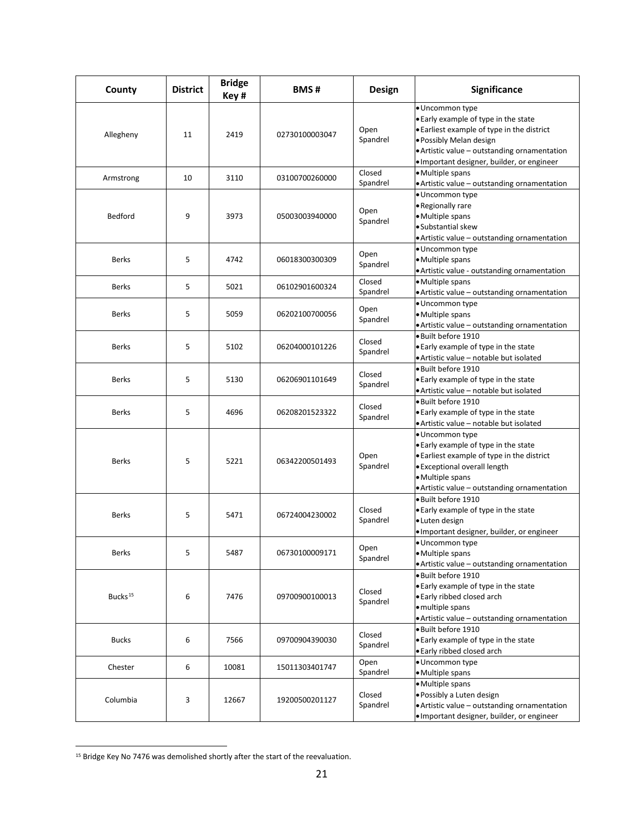| County              | <b>District</b> | <b>Bridge</b><br>Key# | <b>BMS#</b>    | Design             | Significance                                                                                                                                                                                                                   |
|---------------------|-----------------|-----------------------|----------------|--------------------|--------------------------------------------------------------------------------------------------------------------------------------------------------------------------------------------------------------------------------|
| Allegheny           | 11              | 2419                  | 02730100003047 | Open<br>Spandrel   | · Uncommon type<br>. Early example of type in the state<br>. Earliest example of type in the district<br>• Possibly Melan design<br>• Artistic value - outstanding ornamentation<br>· Important designer, builder, or engineer |
| Armstrong           | 10              | 3110                  | 03100700260000 | Closed<br>Spandrel | • Multiple spans<br>• Artistic value - outstanding ornamentation                                                                                                                                                               |
| Bedford             | 9               | 3973                  | 05003003940000 | Open<br>Spandrel   | · Uncommon type<br>• Regionally rare<br>· Multiple spans<br>·Substantial skew<br>· Artistic value - outstanding ornamentation                                                                                                  |
| <b>Berks</b>        | 5               | 4742                  | 06018300300309 | Open<br>Spandrel   | · Uncommon type<br>• Multiple spans<br>· Artistic value - outstanding ornamentation                                                                                                                                            |
| <b>Berks</b>        | 5               | 5021                  | 06102901600324 | Closed<br>Spandrel | • Multiple spans<br>• Artistic value - outstanding ornamentation                                                                                                                                                               |
| <b>Berks</b>        | 5               | 5059                  | 06202100700056 | Open<br>Spandrel   | · Uncommon type<br>·Multiple spans<br>• Artistic value - outstanding ornamentation                                                                                                                                             |
| <b>Berks</b>        | 5               | 5102                  | 06204000101226 | Closed<br>Spandrel | · Built before 1910<br>. Early example of type in the state<br>· Artistic value - notable but isolated                                                                                                                         |
| <b>Berks</b>        | 5               | 5130                  | 06206901101649 | Closed<br>Spandrel | · Built before 1910<br>. Early example of type in the state<br>• Artistic value - notable but isolated                                                                                                                         |
| <b>Berks</b>        | 5               | 4696                  | 06208201523322 | Closed<br>Spandrel | • Built before 1910<br>. Early example of type in the state<br>· Artistic value - notable but isolated                                                                                                                         |
| <b>Berks</b>        | 5               | 5221                  | 06342200501493 | Open<br>Spandrel   | · Uncommon type<br>. Early example of type in the state<br>• Earliest example of type in the district<br>• Exceptional overall length<br>· Multiple spans<br>• Artistic value - outstanding ornamentation                      |
| <b>Berks</b>        | 5               | 5471                  | 06724004230002 | Closed<br>Spandrel | · Built before 1910<br>. Early example of type in the state<br>•Luten design<br>· Important designer, builder, or engineer                                                                                                     |
| <b>Berks</b>        | 5               | 5487                  | 06730100009171 | Open<br>Spandrel   | • Uncommon type<br>· Multiple spans<br>· Artistic value - outstanding ornamentation                                                                                                                                            |
| Bucks <sup>15</sup> | 6               | 7476                  | 09700900100013 | Closed<br>Spandrel | · Built before 1910<br>. Early example of type in the state<br>• Early ribbed closed arch<br>· multiple spans<br>· Artistic value - outstanding ornamentation                                                                  |
| <b>Bucks</b>        | 6               | 7566                  | 09700904390030 | Closed<br>Spandrel | · Built before 1910<br>. Early example of type in the state<br>• Early ribbed closed arch                                                                                                                                      |
| Chester             | 6               | 10081                 | 15011303401747 | Open<br>Spandrel   | · Uncommon type<br>· Multiple spans                                                                                                                                                                                            |
| Columbia            | 3               | 12667                 | 19200500201127 | Closed<br>Spandrel | · Multiple spans<br>· Possibly a Luten design<br>. Artistic value - outstanding ornamentation<br>· Important designer, builder, or engineer                                                                                    |

<span id="page-20-0"></span><sup>&</sup>lt;sup>15</sup> Bridge Key No 7476 was demolished shortly after the start of the reevaluation.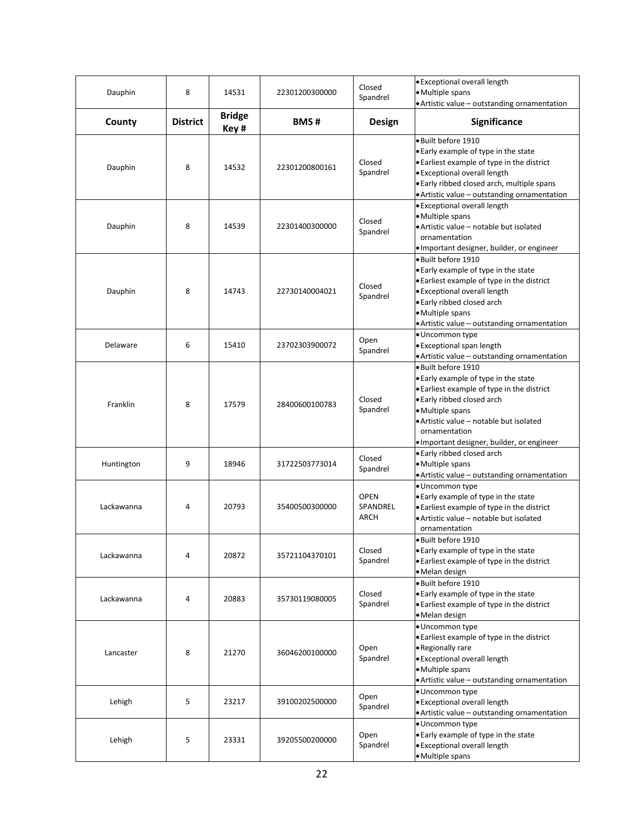| Dauphin    | 8               | 14531                 | 22301200300000 | Closed<br>Spandrel              | · Exceptional overall length<br>• Multiple spans<br>• Artistic value - outstanding ornamentation                                                                                                                                                                      |
|------------|-----------------|-----------------------|----------------|---------------------------------|-----------------------------------------------------------------------------------------------------------------------------------------------------------------------------------------------------------------------------------------------------------------------|
| County     | <b>District</b> | <b>Bridge</b><br>Key# | <b>BMS#</b>    | <b>Design</b>                   | Significance                                                                                                                                                                                                                                                          |
| Dauphin    | 8               | 14532                 | 22301200800161 | Closed<br>Spandrel              | · Built before 1910<br>. Early example of type in the state<br>• Earliest example of type in the district<br>· Exceptional overall length<br>. Early ribbed closed arch, multiple spans<br>• Artistic value - outstanding ornamentation                               |
| Dauphin    | 8               | 14539                 | 22301400300000 | Closed<br>Spandrel              | • Exceptional overall length<br>• Multiple spans<br>• Artistic value – notable but isolated<br>ornamentation<br>• Important designer, builder, or engineer                                                                                                            |
| Dauphin    | 8               | 14743                 | 22730140004021 | Closed<br>Spandrel              | · Built before 1910<br>. Early example of type in the state<br>. Earliest example of type in the district<br>· Exceptional overall length<br>· Early ribbed closed arch<br>· Multiple spans<br>• Artistic value - outstanding ornamentation                           |
| Delaware   | 6               | 15410                 | 23702303900072 | Open<br>Spandrel                | · Uncommon type<br>· Exceptional span length<br>• Artistic value - outstanding ornamentation                                                                                                                                                                          |
| Franklin   | 8               | 17579                 | 28400600100783 | Closed<br>Spandrel              | · Built before 1910<br>. Early example of type in the state<br>• Earliest example of type in the district<br>. Early ribbed closed arch<br>• Multiple spans<br>• Artistic value - notable but isolated<br>ornamentation<br>• Important designer, builder, or engineer |
| Huntington | 9               | 18946                 | 31722503773014 | Closed<br>Spandrel              | . Early ribbed closed arch<br>• Multiple spans<br>• Artistic value - outstanding ornamentation                                                                                                                                                                        |
| Lackawanna | 4               | 20793                 | 35400500300000 | <b>OPEN</b><br>SPANDREL<br>ARCH | · Uncommon type<br>. Early example of type in the state<br>. Earliest example of type in the district<br>• Artistic value - notable but isolated<br>ornamentation                                                                                                     |
| Lackawanna | 4               | 20872                 | 35721104370101 | Closed<br>Spandrel              | • Built before 1910<br>. Early example of type in the state<br>• Earliest example of type in the district<br>•Melan design                                                                                                                                            |
| Lackawanna | 4               | 20883                 | 35730119080005 | Closed<br>Spandrel              | · Built before 1910<br>. Early example of type in the state<br>. Earliest example of type in the district<br>· Melan design                                                                                                                                           |
| Lancaster  | 8               | 21270                 | 36046200100000 | Open<br>Spandrel                | · Uncommon type<br>• Earliest example of type in the district<br>• Regionally rare<br>· Exceptional overall length<br>· Multiple spans<br>• Artistic value - outstanding ornamentation                                                                                |
| Lehigh     | 5               | 23217                 | 39100202500000 | Open<br>Spandrel                | · Uncommon type<br>· Exceptional overall length<br>• Artistic value - outstanding ornamentation                                                                                                                                                                       |
| Lehigh     | 5               | 23331                 | 39205500200000 | Open<br>Spandrel                | · Uncommon type<br>. Early example of type in the state<br>· Exceptional overall length<br>· Multiple spans                                                                                                                                                           |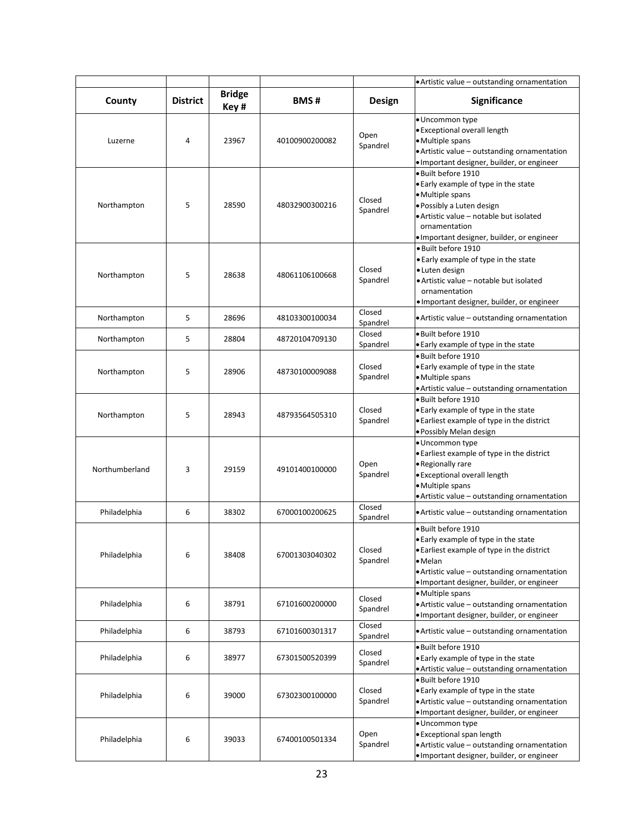|                |                 |                       |                |                    | • Artistic value - outstanding ornamentation                                                                                                                                                                               |
|----------------|-----------------|-----------------------|----------------|--------------------|----------------------------------------------------------------------------------------------------------------------------------------------------------------------------------------------------------------------------|
| County         | <b>District</b> | <b>Bridge</b><br>Key# | <b>BMS#</b>    | Design             | <b>Significance</b>                                                                                                                                                                                                        |
| Luzerne        | 4               | 23967                 | 40100900200082 | Open<br>Spandrel   | · Uncommon type<br>· Exceptional overall length<br>• Multiple spans<br>• Artistic value - outstanding ornamentation<br>· Important designer, builder, or engineer                                                          |
| Northampton    | 5               | 28590                 | 48032900300216 | Closed<br>Spandrel | · Built before 1910<br>• Early example of type in the state<br>· Multiple spans<br>· Possibly a Luten design<br>• Artistic value – notable but isolated<br>ornamentation<br>· Important designer, builder, or engineer     |
| Northampton    | 5               | 28638                 | 48061106100668 | Closed<br>Spandrel | • Built before 1910<br>• Early example of type in the state<br>• Luten design<br>· Artistic value - notable but isolated<br>ornamentation<br>· Important designer, builder, or engineer                                    |
| Northampton    | 5               | 28696                 | 48103300100034 | Closed<br>Spandrel | • Artistic value - outstanding ornamentation                                                                                                                                                                               |
| Northampton    | 5               | 28804                 | 48720104709130 | Closed<br>Spandrel | • Built before 1910<br>. Early example of type in the state                                                                                                                                                                |
| Northampton    | 5               | 28906                 | 48730100009088 | Closed<br>Spandrel | · Built before 1910<br>. Early example of type in the state<br>· Multiple spans<br>• Artistic value - outstanding ornamentation                                                                                            |
| Northampton    | 5               | 28943                 | 48793564505310 | Closed<br>Spandrel | · Built before 1910<br>. Early example of type in the state<br>• Earliest example of type in the district<br>· Possibly Melan design                                                                                       |
| Northumberland | 3               | 29159                 | 49101400100000 | Open<br>Spandrel   | · Uncommon type<br>• Earliest example of type in the district<br>• Regionally rare<br>· Exceptional overall length<br>• Multiple spans<br>. Artistic value - outstanding ornamentation                                     |
| Philadelphia   | 6               | 38302                 | 67000100200625 | Closed<br>Spandrel | • Artistic value - outstanding ornamentation                                                                                                                                                                               |
| Philadelphia   | 6               | 38408                 | 67001303040302 | Closed<br>Spandrel | · Built before 1910<br>. Early example of type in the state<br>• Earliest example of type in the district<br>$\bullet$ Melan<br>• Artistic value - outstanding ornamentation<br>. Important designer, builder, or engineer |
| Philadelphia   | 6               | 38791                 | 67101600200000 | Closed<br>Spandrel | • Multiple spans<br>• Artistic value - outstanding ornamentation<br>. Important designer, builder, or engineer                                                                                                             |
| Philadelphia   | 6               | 38793                 | 67101600301317 | Closed<br>Spandrel | • Artistic value – outstanding ornamentation                                                                                                                                                                               |
| Philadelphia   | 6               | 38977                 | 67301500520399 | Closed<br>Spandrel | · Built before 1910<br>. Early example of type in the state<br>• Artistic value - outstanding ornamentation                                                                                                                |
| Philadelphia   | 6               | 39000                 | 67302300100000 | Closed<br>Spandrel | · Built before 1910<br>. Early example of type in the state<br>• Artistic value - outstanding ornamentation<br>· Important designer, builder, or engineer                                                                  |
| Philadelphia   | 6               | 39033                 | 67400100501334 | Open<br>Spandrel   | · Uncommon type<br>• Exceptional span length<br>. Artistic value - outstanding ornamentation<br>. Important designer, builder, or engineer                                                                                 |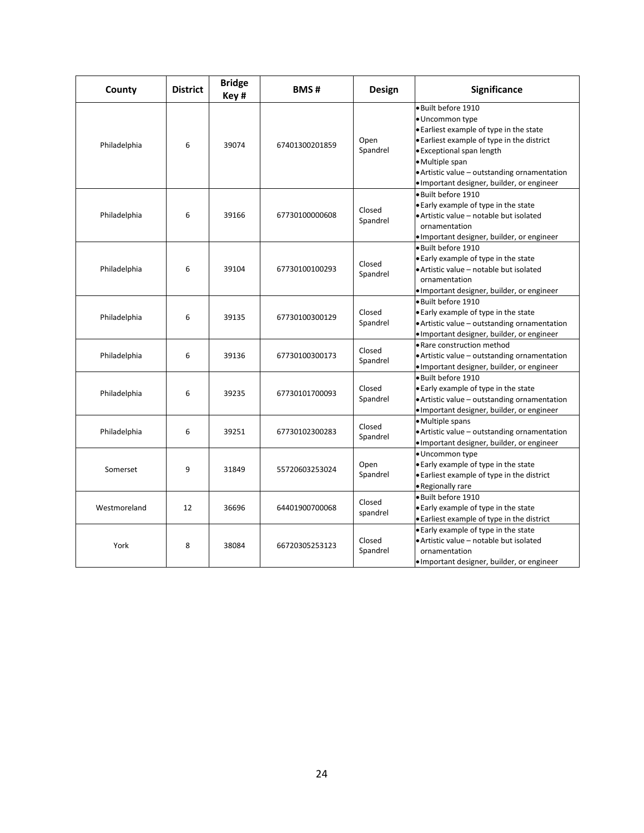| County       | <b>District</b> | <b>Bridge</b><br>Key# | <b>BMS#</b>    | Design             | Significance                                                                                                                                                                                                                                                                 |
|--------------|-----------------|-----------------------|----------------|--------------------|------------------------------------------------------------------------------------------------------------------------------------------------------------------------------------------------------------------------------------------------------------------------------|
| Philadelphia | 6               | 39074                 | 67401300201859 | Open<br>Spandrel   | · Built before 1910<br>· Uncommon type<br>. Earliest example of type in the state<br>• Earliest example of type in the district<br>• Exceptional span length<br>·Multiple span<br>• Artistic value - outstanding ornamentation<br>· Important designer, builder, or engineer |
| Philadelphia | 6               | 39166                 | 67730100000608 | Closed<br>Spandrel | · Built before 1910<br>. Early example of type in the state<br>· Artistic value - notable but isolated<br>ornamentation<br>· Important designer, builder, or engineer                                                                                                        |
| Philadelphia | 6               | 39104                 | 67730100100293 | Closed<br>Spandrel | · Built before 1910<br>. Early example of type in the state<br>• Artistic value - notable but isolated<br>ornamentation<br>· Important designer, builder, or engineer                                                                                                        |
| Philadelphia | 6               | 39135                 | 67730100300129 | Closed<br>Spandrel | · Built before 1910<br>. Early example of type in the state<br>• Artistic value – outstanding ornamentation<br>· Important designer, builder, or engineer                                                                                                                    |
| Philadelphia | 6               | 39136                 | 67730100300173 | Closed<br>Spandrel | • Rare construction method<br>• Artistic value – outstanding ornamentation<br>. Important designer, builder, or engineer                                                                                                                                                     |
| Philadelphia | 6               | 39235                 | 67730101700093 | Closed<br>Spandrel | · Built before 1910<br>. Early example of type in the state<br>• Artistic value – outstanding ornamentation<br>· Important designer, builder, or engineer                                                                                                                    |
| Philadelphia | 6               | 39251                 | 67730102300283 | Closed<br>Spandrel | · Multiple spans<br>• Artistic value – outstanding ornamentation<br>· Important designer, builder, or engineer                                                                                                                                                               |
| Somerset     | 9               | 31849                 | 55720603253024 | Open<br>Spandrel   | · Uncommon type<br>• Early example of type in the state<br>• Earliest example of type in the district<br>• Regionally rare                                                                                                                                                   |
| Westmoreland | 12              | 36696                 | 64401900700068 | Closed<br>spandrel | · Built before 1910<br>. Early example of type in the state<br>• Earliest example of type in the district                                                                                                                                                                    |
| York         | 8               | 38084                 | 66720305253123 | Closed<br>Spandrel | . Early example of type in the state<br>· Artistic value - notable but isolated<br>ornamentation<br>· Important designer, builder, or engineer                                                                                                                               |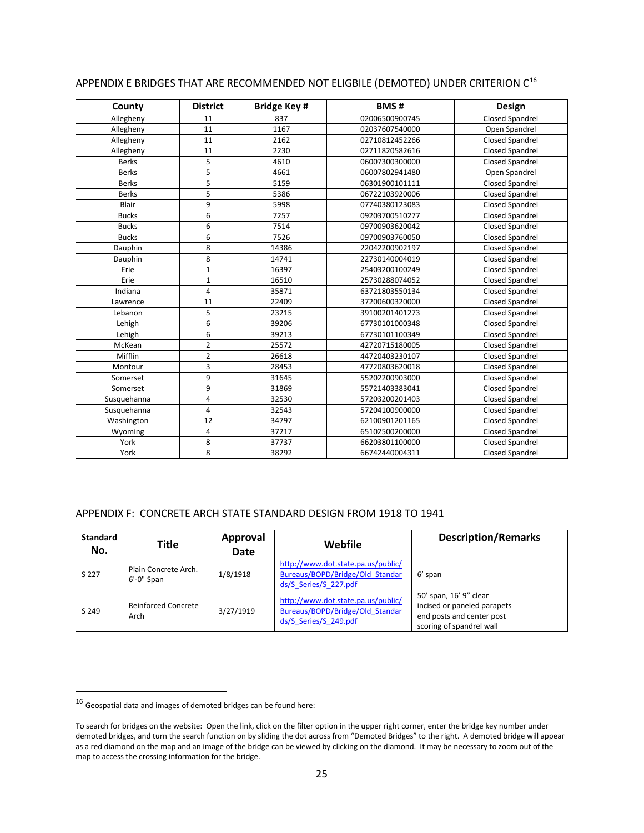| County       | <b>District</b> | <b>Bridge Key#</b> | <b>BMS#</b>    | Design                 |
|--------------|-----------------|--------------------|----------------|------------------------|
| Allegheny    | 11              | 837                | 02006500900745 | <b>Closed Spandrel</b> |
| Allegheny    | 11              | 1167               | 02037607540000 | Open Spandrel          |
| Allegheny    | 11              | 2162               | 02710812452266 | <b>Closed Spandrel</b> |
| Allegheny    | 11              | 2230               | 02711820582616 | <b>Closed Spandrel</b> |
| <b>Berks</b> | 5               | 4610               | 06007300300000 | Closed Spandrel        |
| <b>Berks</b> | 5               | 4661               | 06007802941480 | Open Spandrel          |
| <b>Berks</b> | 5               | 5159               | 06301900101111 | <b>Closed Spandrel</b> |
| <b>Berks</b> | 5               | 5386               | 06722103920006 | <b>Closed Spandrel</b> |
| Blair        | 9               | 5998               | 07740380123083 | <b>Closed Spandrel</b> |
| <b>Bucks</b> | 6               | 7257               | 09203700510277 | <b>Closed Spandrel</b> |
| <b>Bucks</b> | 6               | 7514               | 09700903620042 | <b>Closed Spandrel</b> |
| <b>Bucks</b> | 6               | 7526               | 09700903760050 | <b>Closed Spandrel</b> |
| Dauphin      | 8               | 14386              | 22042200902197 | <b>Closed Spandrel</b> |
| Dauphin      | 8               | 14741              | 22730140004019 | <b>Closed Spandrel</b> |
| Erie         | $\mathbf 1$     | 16397              | 25403200100249 | <b>Closed Spandrel</b> |
| Erie         | $\mathbf 1$     | 16510              | 25730288074052 | <b>Closed Spandrel</b> |
| Indiana      | $\overline{4}$  | 35871              | 63721803550134 | <b>Closed Spandrel</b> |
| Lawrence     | 11              | 22409              | 37200600320000 | <b>Closed Spandrel</b> |
| Lebanon      | 5               | 23215              | 39100201401273 | <b>Closed Spandrel</b> |
| Lehigh       | 6               | 39206              | 67730101000348 | <b>Closed Spandrel</b> |
| Lehigh       | 6               | 39213              | 67730101100349 | <b>Closed Spandrel</b> |
| McKean       | $\overline{2}$  | 25572              | 42720715180005 | <b>Closed Spandrel</b> |
| Mifflin      | $\overline{2}$  | 26618              | 44720403230107 | <b>Closed Spandrel</b> |
| Montour      | 3               | 28453              | 47720803620018 | <b>Closed Spandrel</b> |
| Somerset     | 9               | 31645              | 55202200903000 | <b>Closed Spandrel</b> |
| Somerset     | 9               | 31869              | 55721403383041 | <b>Closed Spandrel</b> |
| Susquehanna  | 4               | 32530              | 57203200201403 | <b>Closed Spandrel</b> |
| Susquehanna  | 4               | 32543              | 57204100900000 | Closed Spandrel        |
| Washington   | 12              | 34797              | 62100901201165 | <b>Closed Spandrel</b> |
| Wyoming      | 4               | 37217              | 65102500200000 | <b>Closed Spandrel</b> |
| York         | 8               | 37737              | 66203801100000 | <b>Closed Spandrel</b> |
| York         | 8               | 38292              | 66742440004311 | <b>Closed Spandrel</b> |

## APPENDIX E BRIDGES THAT ARE RECOMMENDED NOT ELIGBILE (DEMOTED) UNDER CRITERION C[16](#page-24-0)

#### APPENDIX F: CONCRETE ARCH STATE STANDARD DESIGN FROM 1918 TO 1941

| <b>Standard</b><br>No. | Title                                 | Approval<br><b>Date</b> | Webfile                                                                                        | <b>Description/Remarks</b>                                                                                     |
|------------------------|---------------------------------------|-------------------------|------------------------------------------------------------------------------------------------|----------------------------------------------------------------------------------------------------------------|
| S 227                  | Plain Concrete Arch.<br>$6'$ -0" Span | 1/8/1918                | http://www.dot.state.pa.us/public/<br>Bureaus/BOPD/Bridge/Old Standar<br>ds/S Series/S 227.pdf | 6' span                                                                                                        |
| S 249                  | Reinforced Concrete<br>Arch           | 3/27/1919               | http://www.dot.state.pa.us/public/<br>Bureaus/BOPD/Bridge/Old Standar<br>ds/S Series/S 249.pdf | 50' span, 16' 9" clear<br>incised or paneled parapets<br>end posts and center post<br>scoring of spandrel wall |

<span id="page-24-0"></span> $^{16}$  Geospatial data and images of demoted bridges can be found here:

To search for bridges on the website: Open the link, click on the filter option in the upper right corner, enter the bridge key number under demoted bridges, and turn the search function on by sliding the dot across from "Demoted Bridges" to the right. A demoted bridge will appear as a red diamond on the map and an image of the bridge can be viewed by clicking on the diamond. It may be necessary to zoom out of the map to access the crossing information for the bridge.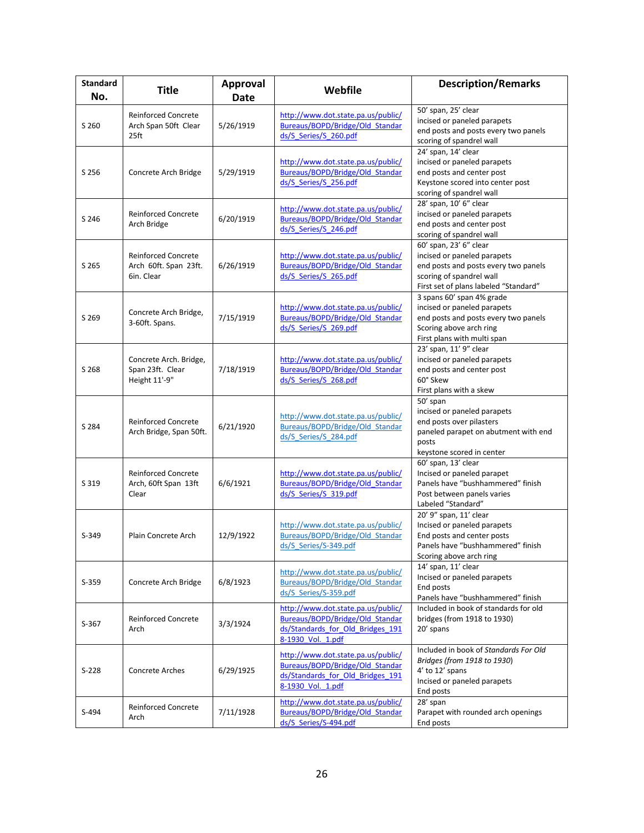| <b>Standard</b><br>No. | <b>Title</b>                                                           | <b>Approval</b><br>Date | Webfile                                                                                                                        | <b>Description/Remarks</b>                                                                                                                                         |
|------------------------|------------------------------------------------------------------------|-------------------------|--------------------------------------------------------------------------------------------------------------------------------|--------------------------------------------------------------------------------------------------------------------------------------------------------------------|
| S 260                  | <b>Reinforced Concrete</b><br>Arch Span 50ft Clear<br>25 <sup>ft</sup> | 5/26/1919               | http://www.dot.state.pa.us/public/<br>Bureaus/BOPD/Bridge/Old_Standar<br>ds/S Series/S 260.pdf                                 | 50' span, 25' clear<br>incised or paneled parapets<br>end posts and posts every two panels<br>scoring of spandrel wall                                             |
| S 256                  | Concrete Arch Bridge                                                   | 5/29/1919               | http://www.dot.state.pa.us/public/<br>Bureaus/BOPD/Bridge/Old Standar<br>ds/S Series/S 256.pdf                                 | 24' span. 14' clear<br>incised or paneled parapets<br>end posts and center post<br>Keystone scored into center post<br>scoring of spandrel wall                    |
| S 246                  | <b>Reinforced Concrete</b><br>Arch Bridge                              | 6/20/1919               | http://www.dot.state.pa.us/public/<br>Bureaus/BOPD/Bridge/Old Standar<br>ds/S Series/S 246.pdf                                 | 28' span, 10' 6" clear<br>incised or paneled parapets<br>end posts and center post<br>scoring of spandrel wall                                                     |
| S 265                  | <b>Reinforced Concrete</b><br>Arch 60ft. Span 23ft.<br>6in. Clear      | 6/26/1919               | http://www.dot.state.pa.us/public/<br>Bureaus/BOPD/Bridge/Old Standar<br>ds/S Series/S 265.pdf                                 | 60' span, 23' 6" clear<br>incised or paneled parapets<br>end posts and posts every two panels<br>scoring of spandrel wall<br>First set of plans labeled "Standard" |
| S 269                  | Concrete Arch Bridge,<br>3-60ft. Spans.                                | 7/15/1919               | http://www.dot.state.pa.us/public/<br>Bureaus/BOPD/Bridge/Old_Standar<br>ds/S Series/S 269.pdf                                 | 3 spans 60' span 4% grade<br>incised or paneled parapets<br>end posts and posts every two panels<br>Scoring above arch ring<br>First plans with multi span         |
| S 268                  | Concrete Arch. Bridge,<br>Span 23ft. Clear<br>Height 11'-9"            | 7/18/1919               | http://www.dot.state.pa.us/public/<br>Bureaus/BOPD/Bridge/Old Standar<br>ds/S Series/S 268.pdf                                 | 23' span, 11' 9" clear<br>incised or paneled parapets<br>end posts and center post<br>60° Skew<br>First plans with a skew                                          |
| S 284                  | <b>Reinforced Concrete</b><br>Arch Bridge, Span 50ft.                  | 6/21/1920               | http://www.dot.state.pa.us/public/<br>Bureaus/BOPD/Bridge/Old Standar<br>ds/S Series/S 284.pdf                                 | 50' span<br>incised or paneled parapets<br>end posts over pilasters<br>paneled parapet on abutment with end<br>posts<br>keystone scored in center                  |
| S 319                  | <b>Reinforced Concrete</b><br>Arch, 60ft Span 13ft<br>Clear            | 6/6/1921                | http://www.dot.state.pa.us/public/<br>Bureaus/BOPD/Bridge/Old Standar<br>ds/S Series/S 319.pdf                                 | 60' span, 13' clear<br>Incised or paneled parapet<br>Panels have "bushhammered" finish<br>Post between panels varies<br>Labeled "Standard"                         |
| $S-349$                | Plain Concrete Arch                                                    | 12/9/1922               | http://www.dot.state.pa.us/public/<br>Bureaus/BOPD/Bridge/Old Standar<br>ds/S Series/S-349.pdf                                 | 20' 9" span, 11' clear<br>Incised or paneled parapets<br>End posts and center posts<br>Panels have "bushhammered" finish<br>Scoring above arch ring                |
| $S-359$                | Concrete Arch Bridge                                                   | 6/8/1923                | http://www.dot.state.pa.us/public/<br>Bureaus/BOPD/Bridge/Old Standar<br>ds/S_Series/S-359.pdf                                 | 14' span, 11' clear<br>Incised or paneled parapets<br>End posts<br>Panels have "bushhammered" finish                                                               |
| $S-367$                | <b>Reinforced Concrete</b><br>Arch                                     | 3/3/1924                | http://www.dot.state.pa.us/public/<br>Bureaus/BOPD/Bridge/Old Standar<br>ds/Standards for Old Bridges 191<br>8-1930 Vol. 1.pdf | Included in book of standards for old<br>bridges (from 1918 to 1930)<br>20' spans                                                                                  |
| $S-228$                | Concrete Arches                                                        | 6/29/1925               | http://www.dot.state.pa.us/public/<br>Bureaus/BOPD/Bridge/Old_Standar<br>ds/Standards for Old Bridges 191<br>8-1930 Vol. 1.pdf | Included in book of Standards For Old<br>Bridges (from 1918 to 1930)<br>4' to 12' spans<br>Incised or paneled parapets<br>End posts                                |
| S-494                  | <b>Reinforced Concrete</b><br>Arch                                     | 7/11/1928               | http://www.dot.state.pa.us/public/<br>Bureaus/BOPD/Bridge/Old Standar<br>ds/S Series/S-494.pdf                                 | 28' span<br>Parapet with rounded arch openings<br>End posts                                                                                                        |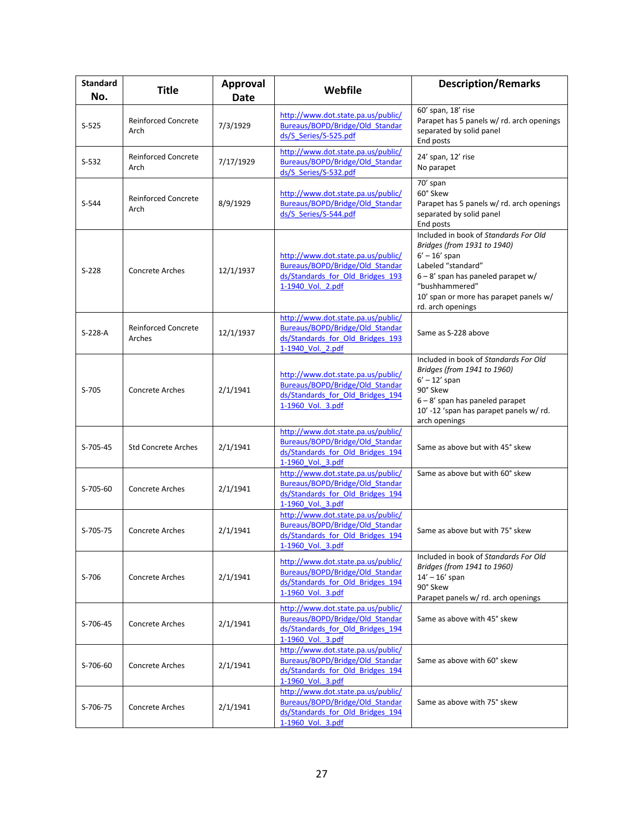| <b>Standard</b><br>No. | <b>Title</b>                         | <b>Approval</b><br><b>Date</b> | Webfile                                                                                                                        | <b>Description/Remarks</b>                                                                                                                                                                                                         |
|------------------------|--------------------------------------|--------------------------------|--------------------------------------------------------------------------------------------------------------------------------|------------------------------------------------------------------------------------------------------------------------------------------------------------------------------------------------------------------------------------|
| $S-525$                | <b>Reinforced Concrete</b><br>Arch   | 7/3/1929                       | http://www.dot.state.pa.us/public/<br>Bureaus/BOPD/Bridge/Old_Standar<br>ds/S Series/S-525.pdf                                 | 60' span, 18' rise<br>Parapet has 5 panels w/ rd. arch openings<br>separated by solid panel<br>End posts                                                                                                                           |
| $S-532$                | <b>Reinforced Concrete</b><br>Arch   | 7/17/1929                      | http://www.dot.state.pa.us/public/<br>Bureaus/BOPD/Bridge/Old Standar<br>ds/S Series/S-532.pdf                                 | 24' span, 12' rise<br>No parapet                                                                                                                                                                                                   |
| $S-544$                | <b>Reinforced Concrete</b><br>Arch   | 8/9/1929                       | http://www.dot.state.pa.us/public/<br>Bureaus/BOPD/Bridge/Old Standar<br>ds/S Series/S-544.pdf                                 | 70' span<br>60° Skew<br>Parapet has 5 panels w/rd. arch openings<br>separated by solid panel<br>End posts                                                                                                                          |
| $S-228$                | <b>Concrete Arches</b>               | 12/1/1937                      | http://www.dot.state.pa.us/public/<br>Bureaus/BOPD/Bridge/Old Standar<br>ds/Standards for Old Bridges 193<br>1-1940 Vol. 2.pdf | Included in book of Standards For Old<br>Bridges (from 1931 to 1940)<br>$6' - 16'$ span<br>Labeled "standard"<br>6-8' span has paneled parapet w/<br>"bushhammered"<br>10' span or more has parapet panels w/<br>rd. arch openings |
| S-228-A                | <b>Reinforced Concrete</b><br>Arches | 12/1/1937                      | http://www.dot.state.pa.us/public/<br>Bureaus/BOPD/Bridge/Old Standar<br>ds/Standards for Old Bridges 193<br>1-1940 Vol. 2.pdf | Same as S-228 above                                                                                                                                                                                                                |
| $S-705$                | Concrete Arches                      | 2/1/1941                       | http://www.dot.state.pa.us/public/<br>Bureaus/BOPD/Bridge/Old Standar<br>ds/Standards for Old Bridges 194<br>1-1960 Vol. 3.pdf | Included in book of Standards For Old<br>Bridges (from 1941 to 1960)<br>$6' - 12'$ span<br>90° Skew<br>6 - 8' span has paneled parapet<br>10' -12 'span has parapet panels w/rd.<br>arch openings                                  |
| S-705-45               | <b>Std Concrete Arches</b>           | 2/1/1941                       | http://www.dot.state.pa.us/public/<br>Bureaus/BOPD/Bridge/Old Standar<br>ds/Standards for Old Bridges 194<br>1-1960 Vol. 3.pdf | Same as above but with 45° skew                                                                                                                                                                                                    |
| S-705-60               | <b>Concrete Arches</b>               | 2/1/1941                       | http://www.dot.state.pa.us/public/<br>Bureaus/BOPD/Bridge/Old Standar<br>ds/Standards for Old Bridges 194<br>1-1960_Vol._3.pdf | Same as above but with 60° skew                                                                                                                                                                                                    |
| S-705-75               | <b>Concrete Arches</b>               | 2/1/1941                       | http://www.dot.state.pa.us/public/<br>Bureaus/BOPD/Bridge/Old Standar<br>ds/Standards for Old Bridges 194<br>1-1960 Vol. 3.pdf | Same as above but with 75° skew                                                                                                                                                                                                    |
| S-706                  | Concrete Arches                      | 2/1/1941                       | http://www.dot.state.pa.us/public/<br>Bureaus/BOPD/Bridge/Old Standar<br>ds/Standards for Old Bridges 194<br>1-1960 Vol. 3.pdf | Included in book of Standards For Old<br>Bridges (from 1941 to 1960)<br>$14' - 16'$ span<br>90° Skew<br>Parapet panels w/ rd. arch openings                                                                                        |
| S-706-45               | <b>Concrete Arches</b>               | 2/1/1941                       | http://www.dot.state.pa.us/public/<br>Bureaus/BOPD/Bridge/Old Standar<br>ds/Standards for Old Bridges 194<br>1-1960 Vol. 3.pdf | Same as above with 45° skew                                                                                                                                                                                                        |
| S-706-60               | <b>Concrete Arches</b>               | 2/1/1941                       | http://www.dot.state.pa.us/public/<br>Bureaus/BOPD/Bridge/Old Standar<br>ds/Standards for Old Bridges 194<br>1-1960 Vol. 3.pdf | Same as above with 60° skew                                                                                                                                                                                                        |
| S-706-75               | Concrete Arches                      | 2/1/1941                       | http://www.dot.state.pa.us/public/<br>Bureaus/BOPD/Bridge/Old Standar<br>ds/Standards for Old Bridges 194<br>1-1960 Vol. 3.pdf | Same as above with 75° skew                                                                                                                                                                                                        |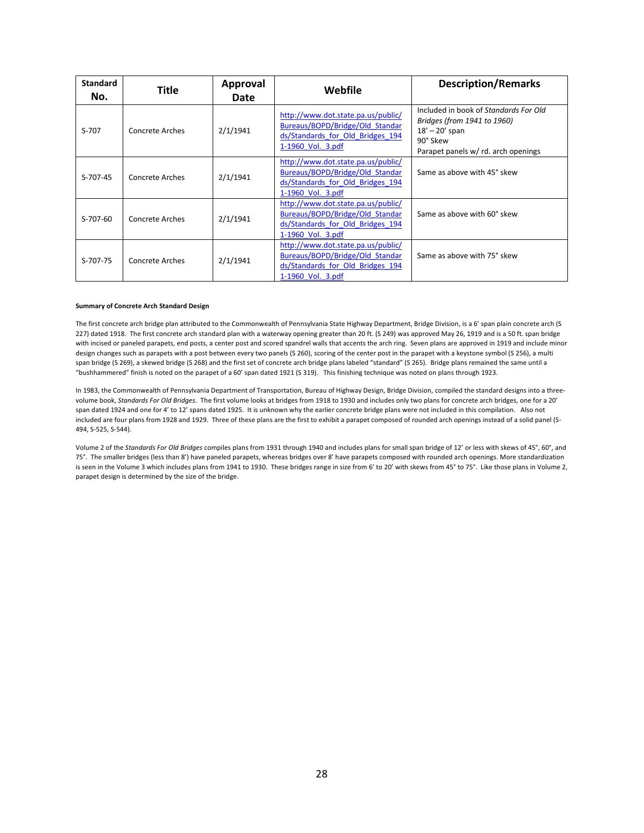| <b>Standard</b><br>No. | <b>Title</b>           | Approval<br>Date | Webfile                                                                                                                        | <b>Description/Remarks</b>                                                                                                                  |
|------------------------|------------------------|------------------|--------------------------------------------------------------------------------------------------------------------------------|---------------------------------------------------------------------------------------------------------------------------------------------|
| $S-707$                | <b>Concrete Arches</b> | 2/1/1941         | http://www.dot.state.pa.us/public/<br>Bureaus/BOPD/Bridge/Old Standar<br>ds/Standards for Old Bridges 194<br>1-1960 Vol. 3.pdf | Included in book of Standards For Old<br>Bridges (from 1941 to 1960)<br>$18' - 20'$ span<br>90° Skew<br>Parapet panels w/ rd. arch openings |
| S-707-45               | Concrete Arches        | 2/1/1941         | http://www.dot.state.pa.us/public/<br>Bureaus/BOPD/Bridge/Old Standar<br>ds/Standards for Old Bridges 194<br>1-1960 Vol. 3.pdf | Same as above with 45° skew                                                                                                                 |
| $S-707-60$             | Concrete Arches        | 2/1/1941         | http://www.dot.state.pa.us/public/<br>Bureaus/BOPD/Bridge/Old Standar<br>ds/Standards for Old Bridges 194<br>1-1960 Vol. 3.pdf | Same as above with 60° skew                                                                                                                 |
| S-707-75               | Concrete Arches        | 2/1/1941         | http://www.dot.state.pa.us/public/<br>Bureaus/BOPD/Bridge/Old Standar<br>ds/Standards for Old Bridges 194<br>1-1960 Vol. 3.pdf | Same as above with 75° skew                                                                                                                 |

#### **Summary of Concrete Arch Standard Design**

The first concrete arch bridge plan attributed to the Commonwealth of Pennsylvania State Highway Department, Bridge Division, is a 6' span plain concrete arch (S 227) dated 1918. The first concrete arch standard plan with a waterway opening greater than 20 ft. (S 249) was approved May 26, 1919 and is a 50 ft. span bridge with incised or paneled parapets, end posts, a center post and scored spandrel walls that accents the arch ring. Seven plans are approved in 1919 and include minor design changes such as parapets with a post between every two panels (S 260), scoring of the center post in the parapet with a keystone symbol (S 256), a multi span bridge (S 269), a skewed bridge (S 268) and the first set of concrete arch bridge plans labeled "standard" (S 265). Bridge plans remained the same until a "bushhammered" finish is noted on the parapet of a 60' span dated 1921 (S 319). This finishing technique was noted on plans through 1923.

In 1983, the Commonwealth of Pennsylvania Department of Transportation, Bureau of Highway Design, Bridge Division, compiled the standard designs into a threevolume book, *Standards For Old Bridges*. The first volume looks at bridges from 1918 to 1930 and includes only two plans for concrete arch bridges, one for a 20' span dated 1924 and one for 4' to 12' spans dated 1925. It is unknown why the earlier concrete bridge plans were not included in this compilation. Also not included are four plans from 1928 and 1929. Three of these plans are the first to exhibit a parapet composed of rounded arch openings instead of a solid panel (S-494, S-525, S-544).

Volume 2 of the *Standards For Old Bridges* compiles plans from 1931 through 1940 and includes plans for small span bridge of 12' or less with skews of 45°, 60°, and 75°. The smaller bridges (less than 8') have paneled parapets, whereas bridges over 8' have parapets composed with rounded arch openings. More standardization is seen in the Volume 3 which includes plans from 1941 to 1930. These bridges range in size from 6' to 20' with skews from 45° to 75°. Like those plans in Volume 2, parapet design is determined by the size of the bridge.